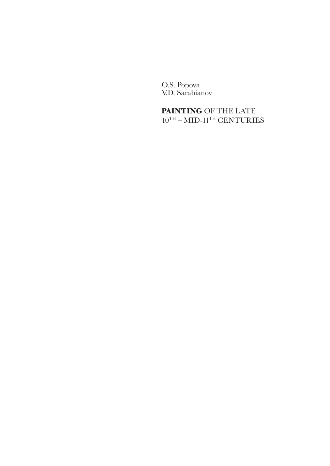O.S. Popova V.D. Sarabianov

# **PAINTING** OF THE LATE  $10^{\mathrm{TH}} - \mathrm{MID}\text{-}11^{\mathrm{TH}}$  CENTURIES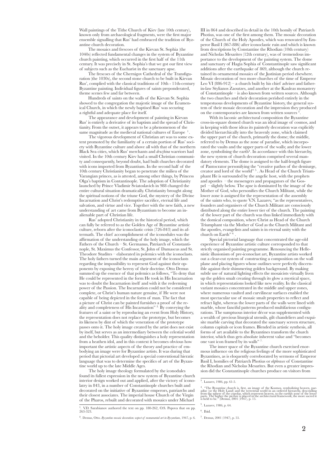Wall paintings of the Tithe Church of Kiev (late 10th century), known only from archaeological fragments, were the first major ensemble signalling that Rus' had embraced the tradition of Byzantine church decoration.

The mosaics and frescoes of the Kievan St. Sophia (the 1040s) reflected fundamental changes in the system of Byzantine church painting, which occurred in the first half of the 11th century. It was precisely in St. Sophia's that we got our first view of subjects such as the Eucharist in the sanctuary apse.

The frescoes of the Chernigov Cathedral of the Transfiguration (the 1030s), the second stone church to be built in Kievan Rus', complied with the classical traditions of 10th - 11th-century Byzantine painting. Individual figures of saints preponderated, theme scenes few and far between.

Hundreds of saints on the walls of the Kievan St. Sophia showed to the congregation the majestic image of the Ecumenical Church, in which the newly baptised Rus' was securing a rightful and adequate place for itself.

The appearance and development of painting in Kievan Rus' is entirely a derivative of its baptism and the spread of Christianity. From the outset, it appears to be a phenomenon of the same magnitude as the medieval national cultures of Europe  $<sup>1</sup>$ </sup>

The vigorous development of Christian art was to some extent promoted by the familiarity of a certain portion of Rus' society with Byzantine culture and above all with that of the northern Black Sea cities, which Rus' merchants and *druzhina* warriors had visited. In the 10th century Kiev had a small Christian community and consequently, beyond doubt, had built churches decorated with icons imported from Byzantium. In the second half of the 10th century Christianity began to penetrate the milieu of the Varangian princes, as is attested, among other things, by Princess Olga's baptism in Contantinople. The adoption of Christianity launched by Prince Vladimir Sviatoslavich in 988 changed the entire cultural situation dramatically. Christianity brought along the spiritual notions of the triune God, the mystery of the Divine Incarnation and Christ's redemptive sacrifice, eternal life and salvation, and virtue and vice. Together with the new faith, a new understanding of art came from Byzantium to become an inalienable part of Christian life.

Rus' adopted Christianity in the historical period, which can fully be referred to as the Golden Age of Byzantine artistic culture, reborn after the iconoclastic crisis (726-843) and its aftermath. The chief accomplishment of the iconodules was the affirmation of the understanding of the holy image, which the Fathers of the Church – St. Germanus, Patriarch of Constantinople, St. Maximus the Confessor, St. John of Damascus and St. Theodore Studites – elaborated in polemics with the iconoclasts. The holy fathers turned the main argument of the iconoclasts regarding the impossibility to represent God against their opponents by exposing the heresy of their doctrine. Otto Demus summed up the essence of that polemics as follows, "To deny that He could be represented in the form He took in His Incarnation was to doubt the Incarnation itself and with it the redeeming power of the Passion. The Incarnation could not be considered complete, or Christ's human nature genuine, if He were not capable of being depicted in the form of man. The fact that a picture of Christ can be painted furnishes a proof of the reality and completeness of His Incarnation" 2. By conveying the features of a saint or by reproducing an event from Holy History, the representation does not replace the prototype, but becomes its likeness by dint of which the veneration of the prototype passes onto it. The holy image created by the artist does not exist by itself, but serves as an intermediary between the celestial world and the beholder. This quality distinguishes a holy representation from a heathen idol, and in this context it becomes obvious how important the artistic aspects of the theory and practice of embodying an image were for Byzantine artists. It was during that period that pictorial art developed a special conventional hieratic language that was to determine the specifics of art of the Byzantine world up to the late Middle Ages.

The holy image theology formulated by the iconodules found its fullest expression in the new system of Byzantine church interior design worked out and applied, after the victory of iconolatry in 843, in a number of Constantinople churches built and decorated on the initiative of Byzantine emperors, patriarchs and their closest associates. The imperial house Church of the Virgin of the Pharos, rebuilt and decorated with mosaics under Michael

2 . Demus, Otto. *Byzantine mosaic decoration: aspect of monumental art in Byzantium*, 1947, p. 6.

III in 864 and described in detail in the 10th homily of Patriarch Photius, was one of the first among them. The mosaic decoration of the Church of the Holy Apostles, which was renovated by Emperor Basil I (867-886) after iconoclastic ruin and which is known from descriptions by Constantine the Rhodian (10th century) and Nicholas Mesarites (12th century), was of tremendous importance to the development of the painting system. The dome and sanctuary of Hagia Sophia of Constantinople saw significant additions after the earthquake of 869, although the church retained its ornamental mosaics of the Justinian period elsewhere. Mosaic decoration of two more churches of the time of Emperor Leo VI (886-912) – a church built by his chief adviser and fatherin-law Stylianos Zaoutzes, and another at the Kauleas monastery of Constantinople – is also known from written sources. Although the two churches and their decoration perished entirely in the tempestuous developments of Byzantine history, the general system of their mosaic decoration and the impression they produced on the contemporaries are known from written sources<sup>3</sup>

With its laconic architectural composition the Byzantine cross-in-square domed church was an ideal image of cosmos, and in keeping with those ideas its painterly decoration was explicitly divided hierarchically into the heavenly zone, which claimed the upper part of the church, primarily the dome; the middle, referred to by Demus as the zone of paradise, which incorporated the vaults and the upper parts of the walls; and the lower zone, symbolising the earth $4$ . In accordance with this hierarchy, the new system of church decoration comprised several mandatory elements. The dome is assigned to the half-length figure of Pantocrator personifying the "creative pathos of the demiurge, creator and lord of the world" 5 . As Head of the Church Triumphant He is surrounded by the angelic host, with the prophets and apostles – the messengers and propagators of the Gospel – slightly below. The apse is dominated by the image of the Mother of God, who personifies the Church Militant, while the lower zone is assigned for the representation of the assembly of the saints who, to quote V.N. Lazarev, "as the representatives, founders and organisers of the Church Militant are consciously distributed along the entire lower tier of the church. The painting of the lower part of the church was thus linked immediately with the domical composition, where Christ as Head of the Church Triumphant via the Mother of God as the Church Militant and the apostles, evangelists and saints is in eternal unity with the church on Earth"<sup>6</sup>

Special pictorial language that concentrated the age-old experience of Byzantine artistic culture corresponded to that strictly organised painting programme. Renouncing the Hellenistic illusionism of pre-iconoclast art, Byzantine artists worked out a clear-cut system of constructing a composition on the wall plane and placing figures whose outlines were perfectly discernible against their shimmering golden background. By making subtle use of natural lighting effects the mosaicists virtually liven up the golden smalt creating through its glow a mystical space, in which representations looked like new reality. In the classical variant mosaics concentrated in the middle and upper zones, where numerous vaulted and curvilinear surfaces enabled the most spectacular use of mosaic smalt properties to reflect and refract light, whereas the lower parts of the walls were lined with marble, whose fanciful patterns produced multifarious configurations. The sumptuous interior décor was supplemented with a wealth of precious liturgical utensils, gilt chandeliers and exquisite marble carving that decorated the sanctuary screen structure, column capitals or icon frames. Blended in artistic synthesis, all forms of art available to the Byzantines transform the church interior, which thus gets absolute inherent value and "becomes one vast icon framed by its walls" 7.

The inner space of the Byzantine church exercised enormous influence on the religious feelings of the more sophisticated Byzantines, as is eloquently corroborated by sermons of Emperor Basil I, homilies of Patriarch Photius or *ekphrases* of Constantine the Rhodian and Nicholas Mesarites. But even a greater impression did the Constantinople churches produce on visitors from

<sup>1</sup> . V.D. Sarabianov authored the text on pp. 180-262, O.S. Popova that on pp. 263-323.

<sup>3</sup> . Lazarev, 1986, pp. 61-5.

<sup>&</sup>lt;sup>4</sup>. "The Byzantine church is, first, an image of the Kosmos, symbolizing heaven, paradise (or the Holy Land) and the terrestrial world in an ordered hierarchy, descending from the sphere of the cupolas, which represent h

<sup>5</sup> . Lazarev, 1986, p. 64.

<sup>6</sup> . Ibid.

<sup>7</sup> . Demus, 2001 (1947), p. 55.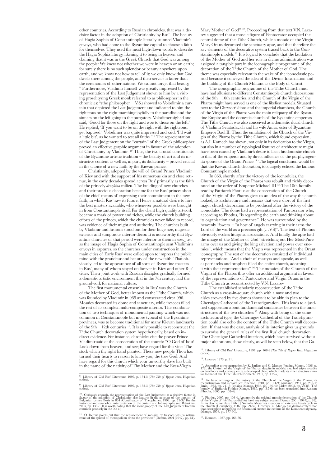other countries. According to Russian chronicles, that was a decisive factor in the adoption of Christianity by Rus'. The beauty of Hagia Sophia of Constantinople literally stunned Vladimir's envoys, who had come to the Byzantine capital to choose a faith for themselves. They used the most high-flown words to describe the Hagia Sophia liturgy, likening it to being in heaven and claiming that it was in the Greek Church that God was among the people: We knew not whether we were in heaven or on earth; for surely there is no such splendor or beauty anywhere upon earth, and we know not how to tell of it; we only know that God dwells there among the people, and their service is fairer than the ceremonies of other nations. We cannot forget that beauty, 8. Furthermore, Vladimir himself was greatly impressed by the representation of the Last Judgement shown to him by a visiting proselitysing Greek monk referred to as philosopher in the chronicles: "(the philosopher. – V.S.) showed to Volodimir a curtain that depicted the Last Judgement and indicated to him the righteous on the right marching joyfully to the paradise and the sinners on the left going to the purgatory. Volodimer sighed and said, 'Good for those on the right and woe to those on the left.' He replied, 'If you want to be on the right with the righteous, get baptised'. Volodimer was quite impressed and said, 'I'll wait a little bit', as he wanted to test all faiths." 9 The representation of the Last Judgement on the "curtain" of the Greek philosopher proved an effective graphic argument in favour of the adoption of Christianity by Vladimir <sup>10</sup>. Thus, the two crucial constituents of the Byzantine artistic tradition – the beauty of art and its instructive content as well as, in part, its didacticity – proved crucial in the choice of a new faith by the Kievan prince.

Christianity, adopted by the will of Grand Prince Vladimir of Kiev and with the support of his numerous kin and close retinue, in the early decades spread across Rus' primarily as the faith of the princely *druzhina* milieu. The building of new churches and their precious decoration became for the Rus' princes short of the chief means of expressing their commitment to the new faith, in which Rus' saw its future. Hence a natural desire to hire the best masters available, who whenever possible were brought in from Constantinople itself. For the client high quality artwork became a mark of power and riches, while the church building efforts of the princes, which the chronicles never failed to record, was evidence of their might and authority. The churches built by Vladimir and his sons stood out for their huge size, majestic exterior and sumptuous interior décor. It is noteworthy that Byzantine churches of that period were inferior to them in size. Just as the image of Hagia Sophia of Constantinople sent Vladimir's envoys in raptures, so the churches under construction in the main cities of Early Rus' were called upon to impress the public mind with the grandeur and beauty of the new faith. That obviously led to the appearance of all sorts of Byzantine masters in Rus', many of whom stayed on forever in Kiev and other Rus' cities. Their joint work with Russian disciples gradually formed a domestic artistic environment that in the 7th century laid the groundwork for national culture.

The first monumental ensemble in Rus' was the Church of the Mother of God, better known as the Tithe Church, which was founded by Vladimir in 989 and consecrated circa 996. Mosaics decorated its dome and sanctuary, while frescoes filled the rest of its complex multi-composite interior. This combination of two techniques of monumental painting which was not common in Constantinople but more typical of the Byzantine provinces, was to become traditional for many Kievan landmarks of the  $9th - 12th$  centuries  $11$ . It is only possible to reconstruct the Tithe Church decoration system hypothetically, based on indirect evidence. For instance, chronicles cite the prayer Prince Vladimir said at the consecration of the church: "O God of host! Look down from heaven, and see; have regard for this vine. The stock which thy right hand planted. These new people Thou has turned their hearts to reason to know you, the true God. And have regard for this church which your unworthy slave has built in the name of the nativity of Thy Mother and the Ever-Virgin

Mary Mother of God" <sup>12</sup>. Proceeding from that text V.N. Lazarev suggested that a mosaic figure of Pantocrator occupied the central dome of the Tithe Church, while a mosaic of the Virgin Mary Orans decorated the sanctuary apse, and that therefore the key elements of the decorative system traced back to the Constantinople models 13. It is logical to conclude that the laudation of the Mother of God and her role in divine administration was assigned a tangible part in the iconographic programme of the decoration of the Tithe Church of the Mother of God. The theme was especially relevant in the wake of the iconoclastic period because it conveyed the idea of the Divine Incarnation and the building of the Church Militant as the Body of Christ.

The iconographic programme of the Tithe Church must have had allusions to different Constantinople church decorations of the 9th – 10th centuries, and the Church of the Virgin of the Pharos might have served as one of the likeliest models. Situated next to the Chrysotriklinos and the imperial chambers, the Church of the Virgin of the Pharos was the main reliquary of the Byzantine Empire and the domestic church of the Byzantine emperors. The Tithe Church was also conceived as a domestic ducal church of Vladimir Sviatoslavich and his wife Anna, sister of Byzantine Emperor Basil II. Thus, the emulation of the Church of the Virgin of the Pharos by the Tithe Church, which found expression, as A.I. Komech has shown, not only in its dedication to the Virgin, but also in a number of typological features of architecture might have been caused by Vladimir's desire to liken his domestic church to that of the emperor and by direct influence of the porphyrogenita spouse of the Grand Prince 14. The logical conclusion would be that the Kievan church decoration, too, largely echoed the famous Constantinople model.

In 863, shortly after the victory of the iconodules, the Church of the Virgin of the Pharos was rebuilt and richly decorated on the order of Emperor Michael III 15. The 10th homily read by Patriarch Photius at the consecration of the Church of the Virgin of the Pharos gives us an idea of the way the church looked, its architecture and mosaics that were short of the first major church decoration to be produced after the victory of the iconodules. The dome had a representation of Pantocrator who, according to Photius, "is regarding the earth and thinking about its organisation and governance". He was surrounded by the heavenly Powers – "a host of angels carrying in their arms the Lord of the world as a precious gift  $(...V.S)"$ . The text of Photius obviously evokes liturgical associations. And finally, the apse had the image of the Mother of God "stretching out Her Most-Pure arms over us and giving the king salvation and power over enemies", which means that the Virgin was represented in the Orant iconography. The rest of the decoration consisted of individual representations: "And a choir of martyrs and apostle, as well as patriarchs and prophets filled the entire church, adorning it with their representations" 16. The mosaics of the Church of the Virgin of the Pharos thus offer an additional argument in favour of the representations of Pantocrator and Virgin Orans in the Tithe Church as reconstructed by V.N. Lazarev.

The established scholarly reconstruction of the Tithe Church as a cross-in-square church with a nave and two aisles crowned by five domes shows it to be akin in plan to the Chernigov Cathedral of the Transfiguration. This leads to a justified supposition about fundamental similarities between the inner structures of the two churches <sup>17</sup> Along with being of the same architectural type, the Chernigov Cathedral of the Transfiguration could also echo the content of the Tithe Church wall decoration. If that was the case, analysis of its interior gives us grounds to surmise the general rules of the first Rus' church decoration. The Chernigov Cathedral interiors, which have survived without major alterations, show clearly, as will be seen below, that the Ca-

<sup>12</sup>. Library of Old Rus' Literature, 1997, pp. 168-9 (*The Tale of Bygone Years*, Hypatian

 $14$ . According to reconstruction by R. Jenkins and C. Mango (Jenkins, Mango, 1956, p. 173), the Church of the Virgin of the Pharos, despite its modest size, had triple arcades on two floors and, consequently, a developed choir, which made its inner structure simi- lar to that of the Tithe Church (Komech, 1987, pp. 175-7).

<sup>15</sup>. For basic writings on the history of the Church of the Virgin of the Pharos, its reconstruction and mosaics sec: Ebersolt, 1910, pp. 104-9; Caulland, 1951, pp. 232-4; Jamm, 1953, pp. 241-5; Jenkins, Mango, 1956, pp.

<sup>8</sup> . Library of Old Rus' Literature, 1997, p. 154-5 (*The Tale of Bygone Years*, Hypatian codex).

<sup>9</sup> . Library of Old Rus' Literature, 1997, p. 152-3 (*The Tale of Bygone Years*, Hypatian codex).

 $^{10}$ . Curiously enough, the representation of the Last Judgement as a decisive factor in favour of the adoption of Christianity also features in the account of the baptism of Bulgarian prince Boris in 864 (Continuator o

 $^{11}\!.$  O. Demus points out that the replacement of mosaics by frescoes was "a natural result of the spread of metropolitan art to the provinces" (Demus, 2001 (1947), pp. 61).

<sup>13</sup>. Lazarev, 1973, p. 21.

 $^{16}$ . Photius, 2005, pp. 103-4. Apparently, the original mosaic decoration of the Church of the Virgin of the Pharos did not have any subject scenes (Demus, 2001 (1947), p. 88). In its description (late 12th c.) Nichola

<sup>17</sup>. Komech, 1987, pp. 168-76.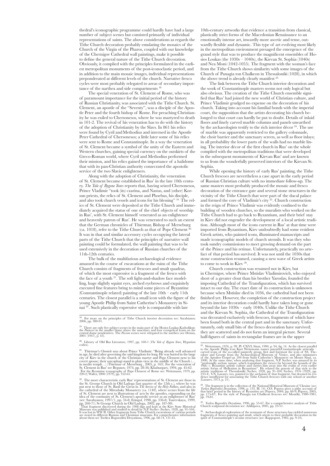thedral's iconographic programme could hardly have had a large number of subject scenes but consisted primarily of individual representations of saints. The above considerations as regards the Tithe Church decoration probably emulating the mosaics of the Church of the Virgin of the Pharos, coupled with our knowledge of the Chernigov Cathedral wall paintings, make it possible to define the general nature of the Tithe Church decoration. Obviously, it complied with the principles formulated in the earliest metropolitan monuments of the post-iconoclastic period, and in addition to the main mosaic images, individual representations preponderated at different levels of the church. Narrative fresco cycles were most probably relegated to areas of secondary importance of the narthex and side compartments 18.

The special veneration of St. Clement of Rome, who was of paramount importance for the initial period of the history of Russian Christianity, was associated with the Tithe Church. St. Clement, an apostle of the "Seventy", was a disciple of the Apostle Peter and the fourth bishop of Rome. For preaching Christianity he was exiled to Chersonesos, where he was martyred to death in 101-2. The revival of his veneration has to do with the history of the adoption of Christianity by the Slavs. In 861 his relics were found by Cyril and Methodius and interned in the Apostle Peter Cathedral of Chersonesos; a little later some of his relics were sent to Rome and Constantinople. In a way the veneration of St. Clement became a symbol of the unity of the Eastern and Western churches, gaining special currency on the outskirts of the Greco-Roman world, where Cyril and Methodius performed their mission, and his relics gained the importance of a halidome that with its pan-Christian authority consecrated the apostolic service of the two Slavic enlighteners.

Along with the adoption of Christianity, the veneration of St. Clement became established in Rus' in the late 10th century. *The Tale of Bygone Years* reports that, having seized Chersonesos, Prince Vladimir "took (its) czarina, and Nastas, and (other) Korsun priests, the relics of St. Clement and Phoebus, his disciple, and also took church vessels and icons for his blessing" 19. The relics of St. Clement were deposited at the Tithe Church and immediately acquired the status of one of the chief objects of worship in Rus', with St. Clement himself venerated as an enlightener and heavenly patron of Rus'. He was venerated to such an extent that the German chronicles of Thietmar, Bishop of Merseburg  $(ca. 1018)$ , refer to the Tithe Church as that of Pope Clement It was in that and similar accessory cycles occupying the lateral parts of the Tithe Church that the principles of narrative wall painting could be formulated, the wall painting that was to be used extensively in the decoration of Russian churches of the 11th-12th centuries.

The bulk of the multifarious archaeological evidence amassed in the course of excavations at the ruins of the Tithe Church consists of fragments of frescoes and smalt quadras, of which the most expressive is a fragment of the fresco with the face of a youth  $2^1$ . The soft light-and-shadow face modelling, huge slightly squint eyes, arched eyebrows and exquisitely executed fine features bring to mind some pieces of Byzantine (Constantinople related) painting of the late 10th – early 11th centuries. The closest parallel is a small icon with the figure of the young Apostle Philip from Saint Catherine's Monastery in Sinai 22. Such plastically expressive style is comparable with late

<sup>18</sup>. For more on the principles of Tithe Church interior decoration see: Sarabianov, 2006, pp. 380-91.

 $^{19}$ . There are only five subject scenes in the main part of the Hosios Loukas Katholikon: the Pentecost in the smaller dome above the sanctuary and four evangelical feasts on the central dome pendentives. The Passion s

<sup>20</sup>. Library of Old Rus Literature, 1997, pp. 160-1 (*The Tale of Bygone Years*, Hypatian codex).

<sup>21</sup>. Thietmar's *Chronicle* says about Prince Vladimir: "Being already well advanced in age, he died after governing the said kingdom for long He was buried in the large<br>city of Kiev in the church of the Christian martyr and Pope Clement next to his<br>covert spouse; their sarcophagi stand in plain view in th 10th-century artworks that evidence a transition from classical, plastically strict forms of the Macedonian Renaissance to an emotionally intense art, inwardly more ascetic and tense, outwardly flexible and dynamic. This type of art evolving most likely in the metropolitan environment presaged the emergence of the grand style that was to produce the magnificent ensembles of Hosios Loukas (the  $1030s - 1040s$ ), the Kievan St. Sophia (1040s) and Nea Moni (1042-1055). The fragment with the woman's face from the Tithe Church shows similarity with some images of the Church of Panagia ton Chalkeon in Thessaloniki (1028), in which the above trend is already clearly manifest<sup>23</sup>

The link between the Tithe Church interior decoration and the work of Constantinople masters seems not only logical but also obvious. The creation of the Tithe Church ensemble signified that Rus' had joined the new world of Christian culture, and Prince Vladimir grudged no expense on the decoration of his church. Taking into account his familial bonds with the imperial court, the supposition that the artists decorating his church belonged to that court can hardly be put to doubt. Details of inlaid floors and finely carved marble columns and panels unearthed by the archaeologists testify to the rich interior décor 24. The use of marble was apparently restricted to the gallery colonnade, the choir barrier and the sanctuary screen, as well as floor inlays; in all probability the lower parts of the walls had no marble lining. The interior décor of the first church in Rus' on the whole complied with the metropolitan traditions that were developed in the subsequent monuments of Kievan Rus' and are known to us from the wonderfully preserved interiors of the Kievan St. Sophia.

While opening the history of early Rus' painting, the Tithe Church frescoes are nevertheless a case apart in the early period of Russian Christian culture with no immediate follow-up. The same masters most probably produced the mosaic and fresco decoration of the entrance gate and several stone structures in the vicinity of the Tithe Church that were part of the ducal palace and formed the core of Vladimir's city 25. Church construction in the reign of Prince Vladimir was evidently confined to the building of wooden churches, so the muralists who worked on the Tithe Church had to go back to Byzantium, and their brief stay in Kiev did not engender the development of a local artistic tradition. Although most of the icons current in Rus' at that time were imported from Byzantium, Kiev undoubtedly had some resident Greek artists, who painted icons, illuminated manuscripts and made iconographic models of church utensils. It was they who took sundry commissions to meet growing demand on the part of the Prince and his retinue. Unfortunately, practically no artefact of that period has survived. It was not until the 1030s that stone construction resumed, causing a new wave of Greek artists to come to work in Kiev<sup>26</sup>

Church construction was resumed not in Kiev, but in Chernigov, where Prince Mstislav Vladimirovich, who enjoyed short of a greater clout than his brother Yaroslav, founded the imposing Cathedral of the Transfiguration, which has survived intact to our day. The exact date of its construction is unknown because when Mstislav died in 1036, the cathedral had not been finished yet. However, the completion of the construction project and its interior decoration could hardly have taken long or gone beyond the late 1030s – early 1040s. Unlike the Tithe Church and the Kievan St. Sophia, the Cathedral of the Transfiguration was decorated exclusively with frescoes, fragments of which have been found both in the central part and in the sanctuary. Unfortunately, only small bits of the fresco decoration have survived; they are scattered and do not form an integral picture. Several half-figures of saints in rectangular frames are in the upper

<sup>24</sup>. The fragment is in the collection of the National Historical Museum of Ukraine (see: Terrica Begoradias Despatinua, 1996, p. 133. Ill. 14). O.S. Popova gives a pithy account of that brief there is that brief the inte

<sup>25</sup>. *Tserkva Bogoroditsi Desyatinna*, 1996, pp. 55-67. For a comprehensive analysis of Tithe Church sculptural decoration see: Arkhipova, 2005, pp. 23-51.

<sup>26</sup>. Archaeological exploration of the remnants of those structures has yielded numerous<br>fragments of fresco painting and smalt, which attests to their probable decoration in the<br>spirit of Constantinople's secular structu

<sup>&</sup>lt;sup>22</sup>. The more characteristic early Rus' representations of St. Clement are those in the St. George Church in Old Ladoga (last quarter of the 12th c.), where he was to thus cathedral of the Mirozhsky Monastery (ca. 1140),

<sup>23</sup>. Weitzmann, 1976, p. 99. Pl. CXVI; Sinai, 1990, p. 94, fig. 14. As the closest parallel to the Apostle Philip icon Kurt Weitzmann names patentlyConstantinople artworks – carved icons of the so-called painterly group, first and foremost the icon of SS. Theorem odder and George from the Archaeological Museum of Venice, and also miniatures of the Aprakos Gospel gr. 204 from Saint Catherine's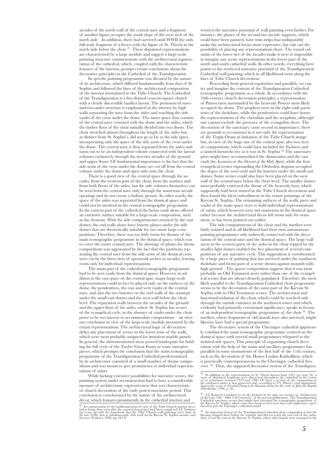arcades of the north wall of the central nave and a fragment of another figure occupies the south slope of the west arch of the north aisle . In addition, there had survived until WWII the only full-scale fragment of a fresco with the figure of St. Thecla in the north aisle below the choir 27. These disjointed representations are characterised by a large module and suggest a large-scale painting structure commensurate with the architectural segmentation of the cathedral, which, coupled with the characteristic features of the interior, prompt certain conclusions about the decorative principles in the Cathedral of the Transfiguration.

Its specific painting programme was dictated by the nature of its architecture, which differed fundamentally from that of St. Sophia and followed the lines of the architectural composition of the interior formulated in the Tithe Church. The Cathedral of the Transfiguration is a five-domed cross-in-square church with a clearly discernible basilica layout. The pronounced naveand-two-aisles structure is emphasised in the interior by high walls separating the nave from the aisles and reaching the side vaults of the cross under the dome. The inner space thus consists of the central nave crowned with the dome and the aisles, which the timber floor of the choir initially divided into two floors. The choir stretched almost throughout the length of the aisles but, as distinct from St. Sophia's, did not go as far as the side apses, incorporating only the space of the side arms of the cross under the dome. The central nave is thus separated from the aisles and turns out to be an independent volume connected with the lateral volumes exclusively through the two-tier arcades of the ground and upper floors. Of fundamental importance is the fact that the side arms of the cross under the dome are cut off from the central volume under the dome and open only onto the choir.

There is a good view of the central space through the arcades, from the western part of the choir, from the narthex and from both floors of the aisles, but the side volumes themselves can be seen from the central nave only through the numerous arcade openings and do not create a holistic picture. In other words, the space of the aisles was separated from the domical space and could not be involved in the central iconographic programme. In the eastern part of the cathedral the bema vault alone offered an extensive surface suitable for a large-scale composition, such as the *Ascension*. With the side compartments crowned by the east domes, the end walls alone have lunette planes under the side domes that are theoretically suitable for two more large compositions. Therefore, there was too little room for themes of the main iconographic programme in the domical space, which was to cover the entire central nave. The shortage of planes for theme compositions was aggravated by the fact that the partitions separating the central nave from the side arms of the domical cross were cut by the three tiers of openwork arches or arcades, leaving room only for individual representations .

The main part of the cathedral iconographic programme had to be seen easily from the domical space. However, in addition to the vast space of the central apse, major large-scale representations could in fact be placed only on the surfaces of the dome, the pendentives, the east and west vaults of the central nave, and also the two lunettes on the end walls of the transept under the small east domes and the west wall below the choir level. The separation walls between the arcades of the ground and the upper floor of the aisles, where St. Sophia has scenes of the evangelical cycle, in the absence of vaults under the choir prove to be too narrow to accommodate compositions – an obvious conclusion in view of the large-scale module presented by the extant representations. The architectural logic of decoration defies any placement of scenes in the lower zone of the walls, which were most probably assigned for imitation marble panels. In general, the aforementioned areas proved inadequate for holding the full cycle of the Twelve Great Feasts or some narrative pieces, which prompts the conclusion that the main iconographic programme of the Transfiguration Cathedral predetermined by its architecture consisted of a small number of theme compositions and was meant to give prominence to individual representations of saints.

While lacking extensive possibilities for narrative scenes, the painting system under reconstruction had to have a considerable measure of architectonic expressiveness that was characteristic of church decoration of the early post-iconoclastic period. This conclusion is corroborated by the nature of the architectural décor, which features prominently in the cathedral interior and

restricts the narrative potential of wall painting even further. For instance, the planes of the second-tier arcade supports, which could have been painted, have trim strips that indisputably make the architectural forms more expressive, but rule out the possibility of placing any representations there. The round columns of the lower tier of the arcades make it next to impossible to imagine any scene representations in the lower part of the north and south cathedral walls. In other words, everything here points to the restricted narrative potential of the Transfiguration Cathedral wall painting, which in all likelihood went along the lines of Tithe Church decoration.

Proceeding from general regularities and parallels, we can try and imagine the content of the Transfiguration Cathedral iconographic programme as a whole. In accordance with the 10th-century church decoration principles, a representation of Pantocrator surrounded by the heavenly Powers most likely occupied the dome. The prophets were in the eight wide partitions of the tholobate, while the pendentives could have borne the representations of the cherubim and the seraphim, although one cannot exclude the presence of the evangelists there. The decoration of the sanctuary came second in importance; there are grounds to reconstruct in it not only the representation of the Virgin Orans in imitation of the Tithe Church image but, in view of the huge size of the central apse, also two tiers of compositions, which could have included the *Eucharist* and a sainted hierarchs tier as it was in St. Sophia 28. The sanctuary piers might have accommodated the *Annunciation* and the east vault the *Ascension* or the *Descent of the Holy Spirit*, while the four evangelical scenes expounding the Orthodox dogmas occupied the slopes of the west vault and the lunettes under the small east domes. Some scenes could also have been placed on the west wall of the central nave below the choir level. The smaller domes most probably conveyed the theme of the heavenly host, which supposedly had been started in the Tithe Church decoration and then found the ideal embodiment in the extant paintings of the Kievan St. Sophia. The remaining surfaces of the walls, piers and vaults of the main space were to hold individual representations of saints, which however were not numerous in the domical space either because the architectural decor left room only for ornament, as has been pointed out earlier.

The side compartments of the choir and the narthex were fairly isolated and in all likelihood had their own autonomous painting programmes only indirectly connected with the decoration of the central nave and the domical space. The large wall areas in the western parts of the aisles in the choir topped by the smaller light domes enabled the free placement of several compositions of any narrative cycle. This supposition is corroborated by a large piece of painting that has survived under the southwest tholobate and forms part of a scene shown against mounds with high ground . The sparse composition suggests that it was most probably an Old Testament story rather than one of the evangelical scenes that are always densely populated. Therefore, the most likely parallel to the Transfiguration Cathedral choir programme seems to be the decoration of the same part of the Kievan St. Sophia with its Old Testament scenes. The architectural and functional isolation of the choir, which could be reached only through the outside entrance in the northwest tower and which evidently had primarily ceremonial significance, speaks in favour of an independent iconographic programme of the choir 29. The narthex, where fragments of old murals have also survived, might likewise have had a special programme.

The decorative system of the Chernigov cathedral apparently combined the main iconographic programme centred on the domical space with several small programmes relegated to the isolated side spaces. This principle of organising church decoration with the help of the main and ancillary programmes has parallels in some monuments of the first half of the 11th century, such as the decoration of the Hosios Loukas Katholikon, which is practically contemporaneous to the Chernigov cathedral frescoes 30 . Thus, the supposed decorative system of the Transfigura-

 $^{27}$ . In contravention of the traditional point of view of the Tithe Church interior decoration being done soon after the construction project had been completed, I.F. Totskaya has come up with the hypothesis that the T

<sup>&</sup>lt;sup>28</sup>. In addition to the representation of St. The<br>cla known from 1923 (see note 34), a score of disjointed fragments were discovered throughout the cahedral in the course<br>of its restoration between 1979 and 1996. Of thes

 $^{29}$ . A.I. Komech is inclined to see the *Eucharist* in the apse (see section on "Architecture of the Late 10th – Mid-11th Centuries" of the present publication). The Transfiguration Cathedral sanctuary scenes thus migh

 $^{30}$  . An important feature of the Transfiguration Cathedral choir composition is that the flooring stopped short before the transept and did not reach the east end of the cathedral, as was the case in the Kievan St. So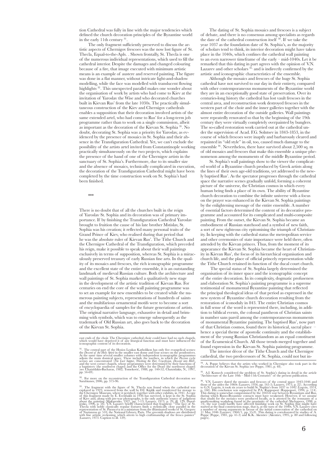tion Cathedral was fully in line with the major tendencies which defined the church decoration principles of the Byzantine world in the early 11th century 31.

The only fragment sufficiently preserved to discuss the artistic aspects of Chernigov frescoes was the now lost figure of St. Thecla, Equal-to-the-Apls. . Shown frontally, St. Thecla is one of the numerous individual representations, which used to fill the cathedral interior. Despite the damages and changed colouring because of a fire, that image executed with minimum artistic means is an example of austere and reserved painting. The figure was done in a flat manner, without intricate light-and-shadow modelling, while the face was modelled with translucent flowing highlights 32. This unexpected parallel makes one wonder about the organisation of work by artists who had come to Kiev at the invitation of Yaroslav the Wise and who decorated churches built in Kievan Rus' from the late 1030s. The practically simultaneous construction of the Kiev and Chernigov cathedrals enables a supposition that their decoration involved artists of the same extended artel, who had come to Rus' for a long-term job programme rather than to work on a single commission, albeit as important as the decoration of the Kievan St. Sophia 33. No doubt, decorating St. Sophia was a priority for Yaroslav, as evidenced by the presence of mosaics in St. Sophia and their absence in the Transfiguration Cathedral. Yet, we can't exclude the possibility of the artists artel invited from Constantinople working practically simultaneously on the two projects, which explains the presence of the hand of one of the Chernigov artists in the sanctuary of St. Sophia's. Furthermore, due to its smaller size and the absence of mosaics, technically complicated in execution, the decoration of the Transfiguration Cathedral might have been completed by the time construction work on St. Sophia's had been finished.

 $**$ 

There is no doubt that of all the churches built in the reign of Yaroslav St. Sophia and its decoration was of primary importance. If by finishing the Transfiguration Cathedral Yaroslav brought to fruition the cause of his late brother Mstislav, St. Sophia was his creation; it reflected many personal traits of the Grand Prince of Kiev, who realised during that period that he was the absolute ruler of Kievan Rus'. The Tithe Church and the Chernigov Cathedral of the Transfiguration, which preceded his reign, make it possible to speak about their wall paintings exclusively in terms of supposition, whereas St. Sophia is a miraculously preserved treasury of early Russian fine arts. In the quality of its mosaics and frescoes, the rich iconographic programme and the excellent state of the entire ensemble, it is an outstanding landmark of medieval Russian culture. Both the architecture and wall paintings of St. Sophia marked a qualitatively new stage in the development of the artistic tradition of Kievan Rus. For centuries on end the core of the wall painting programme was to set an example for new ensembles to be created while the numerous painting subjects, representations of hundreds of saints and the multifarious ornamental motifs were to become a sort of encyclopaedia of samples for the future generations of artists. The original narrative language, exhaustive in detail and brimming with symbols, which was to emerge subsequently as the trademark of Old Russian art, also goes back to the decoration of the Kievan St. Sophia.

east ends of the choir. The Chernigov cathedral choir could have had no such chapels, which would have deprived it of any liturgical function and must have influenced the iconographic content of its decoration.

<sup>32</sup>. For more on the reconstruction of the Transfiguration Cathedral decoration see Sarabianov, 2006, pp. 375-96.

The dating of St. Sophia mosaics and frescoes is a subject of debate, and there is no consensus among specialists as regards the date of the cathedral construction itself 34. If we take the year 1037 as the foundation date of St. Sophia's, as the majority of scholars tend to think, its interior decoration might have taken place in the 1040s, which confines the cathedral wall painting to an even narrower timeframe of the early – mid-1040s. Let it be remarked that this dating in part agrees with the opinion of V.N. Lazarev and other scholars 35, and is indirectly confirmed by the artistic and iconographic characteristics of the ensemble.

Although the mosaics and frescoes of the huge St. Sophia cathedral have not survived to our day in their entirety, compared with other contemporaneous monuments of the Byzantine world they are in an exceptionally good state of preservation. Over its centuries-long history the cathedral has lost vault frescoes in the central area, and reconstruction work destroyed frescoes in the western part of the choir and the inner galleries together with the almost entire decoration of the outside galleries. Wall paintings were repeatedly renovated so that by the beginning of the 19th century they were virtually completely overpainted by bunglers. The so-called restoration work carried out at the cathedral under the supervision of Acad. F.G. Solntsev in 1843-1853, in the course of which frescoes were inaptly and barbarously cleared and repainted in "old style" in oil, too, caused much damage to the ensemble 36. Nevertheless, there have survived about 2,500 sq. m of old mosaics and frescoes that make this ensemble a unique phenomenon among the monuments of the middle Byzantine period.

St. Sophia's wall paintings show to the viewer the complicated world of a Byzantine church produced by Greek artists along the lines of their own age-old traditions, yet addressed to the newly baptised Rus'. As the spectator progresses through the cathedral space the narrative scenes gradually unfold, forming a coherent picture of the universe, the Christian cosmos in which every human being finds a place of its own. The ability of Byzantine church decoration to combine the infinite universe with a focus on the prayer was enhanced in the Kievan St. Sophia paintings by the enlightening message of the entire ensemble. A number of essential factors determined the content of its decorative programme and accounted for its complicated and multi-composite painting. From the outset, the Kievan St. Sophia became an embodiment of Russian statehood and a symbol of new faith, a sort of new righteous city epitomising the triumph of Christianity. In keeping with the cathedral status the metropolitan service and other ceremonies of state importance were held there, often attended by the Kievan princes. Thus, from the moment of its appearance the Kievan St. Sophia became the heart of Christianity in Kievan Rus', the focus of its hierarchical organisation and church life, and the place of official princely representation while the Tithe Church retained its function of the ducal court church.

 The special status of St. Sophia largely determined the organisation of its inner space and the iconographic concept of the entire decoration. In its complexity, dogmatic profuseness and elaboration St. Sophia's painting programme is a supreme testimonial of monumental Byzantine painting that reflected the principal theological ideas of that period as expressed in the new system of Byzantine church decoration resulting from the restoration of iconoduly in 843. The entire Christian cosmos in full sense of the word is represented there, including, in addition to biblical events, the colossal pantheon of Christian saints in number sans pareil among the contemporaneous monuments of monumental Byzantine painting. The baptised Rus', now part of that Christian cosmos, found there its historical, sacral place – hence a special theme of apostolic continuity and the establishment of the young Russian Christiandom as an equal constituent of the Ecumenical Church. All those trends merged together and found expression in the Kievan St. Sophia painting programme. The interior décor of the Tithe Church and the Chernigov

cathedral, the two predecessors of St. Sophia, could not but in-

<sup>34</sup>. A. Poppe believes that the artists who worked in Chernigov also took part in the decoration of the Kievan St. Sophia (see Poppe, 1981, p. 48).

<sup>&</sup>lt;sup>31</sup>. The central part of the Hosios Loukas Katholikon has only five evangelical scenes:<br>the *Descent of the Holy Spirit* in the smaller east dome and four scenes on the pendentives.<br>At the same time several smaller yolum adjoin the main domical space. These include the narthex, in which the *Passion cycles* accens are concentrated (*The Last Supper, Washing the Feet, Crucifixion, Descent into Hell*), and the west corner chapels, whose prog

<sup>&</sup>lt;sup>33</sup>. The fragment with the figure of St. The<br>cla was found when the cathedral was explored in 1923, removed from the wall by D.I. Kiplik and transferred for storage to<br>of this fragment made by E. Evenbakh in 1936 has sur

 $^{35}\!.$  A.I. Komech considered the problem of St. Sophia's dating in detail in the article "Architecture of the Late 10th – Mid-11th Centuries" of the present publication.

<sup>&</sup>lt;sup>36</sup>. VN. Lazarev dated the mosaics and frescoes of the central space 1043-1046 and<br>bose of the aisles the 1060s (Lazarev, 1956, pp. 161-5; Lazarev, 1973, p. 22). According<br>p. 160). Logvin, it took six years to build St.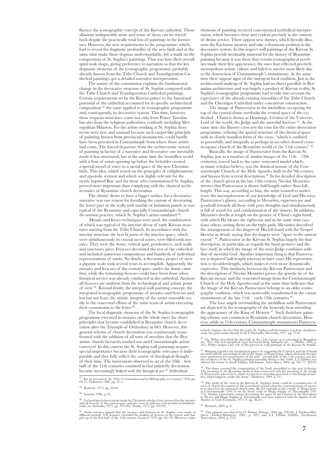fluence the iconographic concept of the Kievan cathedral. Those allusions indisputably arose and some of them can be traced back despite the practically total loss of paintings in the former two. However, the new requirements to the programme, which had to reveal the dogmatic profundity of the new faith and at the same time make those dogmas understandable, left a mark on the composition of St. Sophia's paintings. That was how their overall spirit took shape, giving preference to narration so that the key dogmatic elements of the iconographic programme, probably already known from the Tithe Church and Transfiguration Cathedral paintings, got a detailed narrative interpretation.

The nature of the commission explains the fundamental change in the decorative structure of St. Sophia compared with the Tithe Church and Transfiguration Cathedral paintings. Certain requirements set by the Kievan prince to the functional potential of the cathedral accounted for its specific architectural composition 37; the same applied to its iconographic programme and, consequently, its decorative system. This time, however, those requests must have come not only from Prince Yaroslav, but also from the religious authorities, evidently including Metropolitan Hilarion. For the artists working at St. Sophia those terms were new and unusual because such carpet-like principle of painting, known from provincial monuments, could hardly have been practised in Contantinople from where those artists had come. The forced departure from the architectonic system of painting in favour of a narrative and decorative one inevitably made it less structured, but at the same time the boundless world with a host of saints opening up before the beholder created a special mood of entry to a sacral space of the new Christian faith. This idea, which rested on the principles of enlightenment and apostolic sermon and which was highly relevant for the newly baptised Rus' and for those who commissioned St. Sophia, proved more important than complying with the classical architectonics of Byzantine church decoration.

The clients' desire to have a bigger surface for a decorative narrative was one reason for forsaking the custom of decorating the lower part of the walls with marble or imitation panels as was typical of the Byzantine and especially Constantinople church decoration practice, which St. Sophia's artists emulated 38.

 Mosaic and fresco techniques were used, the combination of which was typical of the interior décor of early Kievan structures starting from the Tithe Church. In accordance with the interior structure the best lit parts of the interior space, which were simultaneously its crucial sacral zones, were filled with mosaics. They were the dome, central apse, pendentives, arch walls and sanctuary piers. Frescoes decorated the rest of the cathedral and included numerous compositions and hundreds of individual representations of saints. No doubt, a decorative project of such a gigantic scale took several years to accomplish. Apparently, the mosaics and frescoes of the central space under the dome came first, while the remaining frescoes could have been done when liturgical service was already conducted at the cathedral. Anyhow, all frescoes are uniform from the technological and artistic point of view 39. Beyond doubt, the integral wall painting concept, the integrated iconographic programme of mosaics and frescoes and, last but not least, the artistic integrity of the entire ensemble testify to the concerted efforts of the same team of artists executing their commission to the letter  $40$ 

The focal dogmatic elements of the St. Sophia iconographic programme executed in mosaics on the whole meet the above principles that became established in Byzantine church decoration after the Triumph of Orthodoxy in 843. However, this general scheme of church decoration was continuously transformed with the addition of all sorts of novelties that the Byzantine church hierarchs worked out and Constantinople artists conveyed. In this context the St. Sophia wall paintings acquire special importance because their iconographic relevance is indisputable and they fully reflect the course of theological thought of their time. The innovations observed in art of the 10th – first half of the 11th centuries consisted in that painterly decoration became increasingly linked with the liturgical act 41. Individual

elements of painting received concentrated symbolical interpretation, which becomes clear and evident precisely in the context of divine service. There appear new themes, which literally illustrate the Eucharist mystery and take a dominant position in the decorative system. In this respect wall paintings of the Kievan St. Sophia provide invaluable material for the history of Byzantine painting because it was there that certain iconographical novelties made their first appearance, the ones that reflected precisely metropolitan artistic culture and failed to survive most likely due to the destruction of Constantinople's monuments. At the same time there appear signs of the emergent local tradition. Just as the architectural makeup of St. Sophia had no direct parallels in Byzantine architecture and was largely a product of Kievan reality, St. Sophia's iconographic programme had to take into account the experience of the already existing ensembles of the Tithe Church and the Chernigov Cathedral under concurrent construction.

The image of Pantocrator in the medallion occupying the top of the central dome overlooks the central space of the cathedral . Christ is shown as Demiurge, Creator of the Universe, Lord of the world, the Judge and the merciful Saviour<sup>42</sup>. At the same time this illusory cross sets the tone for the entire decoration programme, echoing the spatial structure of the domical space with its clearly manifest form of the cross, "which is outlined as powerfully and integrally as perhaps in no other domed crossin-square church of the Byzantine world of the 11th century'

Basically, the image of Pantocrator from the Kievan St. Sophia, just as a number of similar images of the  $11th - 12th$ centuries, traced back to the same venerated model which, as many scholars believe, was the domical mosaic of the Constantinople Church of the Holy Apostles built in the 9th century and known from several descriptions 44. In his detailed description of the church given in the late 12th century Nicolas Mesarites stresses that Pantocrator is shown half-length rather than fulllength. This way, according to him, the artist wanted to underscore the incompleteness of our knowledge of God and His ways. Pantocrator's glance, according to Mesarites, expresses joy and goodwill towards all those with pure thoughts and simultaneously is full of wrath for and condemnation of the sinners. In addition, Mesarites dwells at length on the gesture of Christ's right hand, with which He blesses the righteous and at the same time cautions others, setting them on the right path. Mesarites described the arrangement of the fingers of His left hand with the Gospel likewise in detail, saying that the fingers were "apart to the utmost extent" 45. Pantocrator at the Kievan St. Sophia largely fits that description, in particular, as regards the hand gestures and the face itself, in which the image of the strict Judge combines with that of merciful God. Another important thing is that Pantocrator is depicted half-length whereas in later cases His representation is shoulder-length, which makes it even more dynamically expressive. This similarity between the Kievan Pantocrator and the description of Nicolas Mesarites proves the genetic tie of the Kievan mosaic and the venerated image from the Constantinople Church of the Holy Apostles and at the same time indicates that the image of the Kievan Pantocrator belongs to an older iconographic tradition, which was noticeably transformed in the extant monuments of the late  $11th$  – early 12th centuries  $46$ .

The four angels surrounding the medallion with Pantocrator are depicted in the iconography of the heavenly host attending the appearance of the King of Heaven <sup>47</sup>. Such tholobate painting scheme was common in Byzantine church decoration. However, while in 11th-century Constantinople monuments Pantocra-

nobody disputes the fact that the entire St. Sophia wall decoration was done simultane- ously, the point made already by K.V. Sherotsky (Sherotsky, 1917, pp. 37-8).

<sup>42</sup>. Ch. Walter described the first half of the 11th century as a watershed in Byzantine<br>art. "Not only iconographical types borrowed from Antiquity art..." (Walter, 1982, p.<br>241). Walter assigns a key role in this proces

<sup>43</sup>. Bringing together the demiurgical aspect of organising the Universe and the Church on earth and the soteriological one in the image of Pantocrator, which obviously became more pronounced in monuments of the mid≚second half of the 11th century, was fur-<br>ther evidence of the St. Sophia painting ensemble dating to the 1040s. L.I. Lifshits con-<br>sidered this theme in detail (Lifshits, Sarabiano

<sup>44</sup>. The dome crowned the congregation of the Lord, assembled to take part in liturgy. The meaning of the Byzantine dome is thus connected with the meaning of the image of Pantocrator placed in it, which in turn in its meaning goes back to the liturgical mys- tery which happens under the dome" (Mathews, 1994, p. 11).

 $^{45}$ . The moif of the cross in the Kievan St. Sophia's dome could be a reminiscence of sorts of church decoration of the iconoclastic period when the representations of crosses were placed in the principal church zone,

<sup>46</sup>. Komech, 2005, p. 9.

 $^{37}\!.$  For an account of the 1843-53 restoration and its bibliography see Lazarev, 1978, pp. 65-71; Vzdornov, 1986, pp. 31-5.

<sup>38</sup>. Komech, 1972, pp. 50-64.

<sup>39</sup>. Lazarev, 1986, p. 65.

 $^{40}$ . Technological observations made by Ukrainian scholars have proven that the mosaics and all frescoes of the central space and two rows of galleries were produced simultaneously (see Strilenko, 1975, pp. 195-201; To

 $^{41}$ . Some scholars opined that the mosaics and frescoes of St. Sophia were made at different periods. V.N. Lazarev extended the making of frescoes in the towers and chapels up to the first half of the 12th century (Laz

<sup>47</sup>. This opinion was shared by O. Demus (Demus, 1984, pp. 238-40), J. Timken-Mat- thews (Timken-Matthews, 1981, p. 421) and L.I. Lifshits (Lifshits, Sarabianov, Tsarevskaya, 2004, p. 272).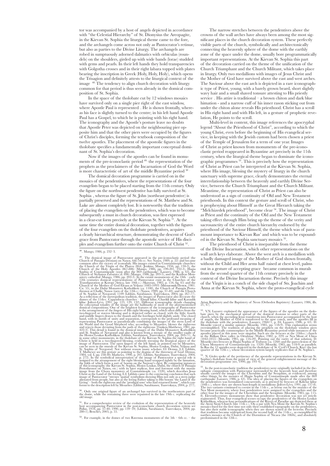tor was accompanied by a host of angels depicted in accordance with "the Celestial Hierarchy" of St. Dionysius the Areopagite, in the Kievan St. Sophia the liturgical theme came to the fore, and the archangels come across not only as Pantocrator's retinue, but also as parties to the Divine Liturgy. The archangels are robed in sumptuously adorned dalmatics with orbiculas (roundels) on the shoulders, girded up with wide bands (lorae) studded with gems and pearls. In their left hands they hold transparencies with Golgotha crosses and in their right labara topped with plates bearing the inscription in Greek (Holy, Holy, Holy), which opens the Trisagion and definitely attests to the liturgical context of the image 48. The tendency to align church decoration with liturgy common for that period is thus seen already in the domical composition of St. Sophia.

In the space of the tholobate cut by 12 windows mosaics have survived only on a single pier right of the east window, where Apostle Paul is represented. He is shown frontally, whereas his face is slightly turned to the centre; in his left hand Apostle Paul has a Gospel, to which he is pointing with his right hand. The iconography and the Apostle's posture leave no doubts that Apostle Peter was depicted on the neighbouring pier opposite him and that the other piers were occupied by the figures of Christ's disciples, forming the textbook composition of the twelve apostles. The placement of the apostolic figures in the tholobate specifies a fundamentally important conceptual dominant of St. Sophia's decoration.

Now if the images of the apostles can be found in monuments of the pre-iconoclastic period 49, the representation of the prophets as the proclaimers of the Incarnation of God the Word is more characteristic of art of the middle Byzantine period

The domical decoration programme is carried on in the mosaics of the pendentives, where the representations of the four evangelists began to be placed starting from the 11th century. Only the figure on the northwest pendentive has fully survived at St. Sophia , whereas the figure of St. John (northeast pendentive) is partially preserved and the representations of St. Matthew and St. Luke are almost completely lost. It is noteworthy that the tradition of placing the evangelists on the pendentives, which was to become subsequently a must in church decoration, was first expressed in a clear-cut form precisely at the Kievan St. Sophia 51. At the same time the entire domical decoration, together with the figures of the four evangelists on the tholobate pendentives, acquires a clearly hierarchical structure, demonstrating the descent of God's grace from Pantocrator through the apostolic service of His disciples and evangelism further onto the entire Church of Christ 52.

<sup>49</sup>. The dominal image of Pantorator appeared in the pre-iconolatic period (the common after the victory of iconolatic period (the Church of Pantoratic Church of the Virgin of Church of the Virgin of the Phanos (864) (pl

 $50$ . Only one original figure of an archangel has survived in the northeastern part of the dome, while the remaining three were repainted in the late 19th c. replicating the  $^{50}$  Only one original figure of an archangel has survived in the northeastern part of the dome, while the remaining three were repainted in the late 19th c. replicating the old image.

 $^{51}$ . For a comprehensive review of the evolution of the representation of the heavenly host accompanying Pantocrator in the post-iconoclastic church decoration system see Pallas, 1978, pp. 37-40; 1990, pp. 139-59; (Lif

The narrow stretches between the pendentives above the crowns of the wall arches have always been among the most significant places in the church decoration system. These perfectly visible parts of the church, symbolically and architectonically connecting the heavenly sphere of the dome with the earthly zone of the space under the dome, usually bore programmatically important representations. At the Kievan St. Sophia this part of the decoration carried on the theme of the unification of the Church Triumphant and the Church Militant, which takes place in liturgy. Only two medallions with images of Jesus Christ and the Mother of God have survived above the east and west arches. The Saviour above the east arch is depicted in a rare iconographic type of Priest, young, with a barely grown beard, short slightly wavy hair and a small shaved tonsure attesting to His priestly service. His attire is traditional – a brown chiton and dark blue himation - and a narrow cuff of his inner rason sticking out from under the chiton alone reveals His priesthood. Christ has a scroll in His right hand and with His left, in a gesture of prophetic revelation, He points to the scroll.

Multi-level in content, this image references the apocryphal legend "About the Priesthood of Christ", according to which the young Christ, even before the beginning of His evangelical service, in keeping with the Jewish custom had been chosen a priest of the Temple of Jerusalem for a term of one year. Images of Christ as priest known from monuments of the pre-iconoclastic period reappeared in Byzantine art precisely in the 11th century, when the liturgical theme began to dominate the iconographic programmes 53. This is precisely how the representation of Christ as Priest can be interpreted at the Kievan St. Sophia, where His image, blessing the mystery of liturgy in the church sanctuary with supreme grace, clearly demonstrates the eternal interrelationship between the heavenly and earthly Divine Service, between the Church Triumphant and the Church Militant. Meantime, the representation of Christ as Priest can also be understood as a sign of continuity of Old and New Testament priesthoods. In this context the gesture and scroll of Christ, who is prophesying about Himself as the Great Hierarch taking the "Melchizedek priesthood", become clear <sup>54</sup>. The image of Christ as Priest and the continuity of the Old and the New Testament taking effect through Him bring up the theme of the verity and sacrosanctity of the entire church hierarchy endorsed by the priesthood of the Saviour Himself, the theme which was of paramount importance to Kievan Rus' and which was to be expounded in the Kievan St. Sophia sanctuary mosaics <sup>55</sup>.

The priesthood of Christ is inseparable from the theme of the Divine Incarnation, which other representations on the wall arch keys elaborate. Above the west arch is a medallion with a badly damaged image of the Mother of God shown frontally, without the Child and Her arms half raised at chest level, palms out in a gesture of accepting grace became common in murals from the second quarter of the 11th century precisely in the context of the Divine Incarnation theme. Precisely this image of the Virgin is in a conch of the side chapel of Sts. Joachim and Anna at the Kievan St. Sophia, where the proto-evangelical cycle

<sup>53</sup>. VN. Lazarev explained the appearance of the figures of the apostles on the blooding base, NR charge shows that pixels charge that the charge shows the charge, the Mother of God is tensiled and the most of the disolo

<sup>54</sup>. N. Gioles spoke of the pertinence of the apostolic representations in the Kievan St. Sophia's tholobate from the point of view of the general enlightenment message of the decoration programme (see, 1990, pp. 193–6).

 $^{55}$ . In the post-ionologistic radiion the pendentiwes were originally included in the theorem ophanic composition with Pantocrator surrounded by the heavenly loost and the<br>reformally carried the images of the Cherubin

<sup>48</sup>. Mango, 1986, p. 232–3.

 $52$ . For example, in the domes of two Ravenna monuments of the  $5th - 6th$  cc. – the

Arian Baptistery and the Baptistery of Neon (Orthodox Baptistery) (Lazarev, 1986, ills. 21, 47).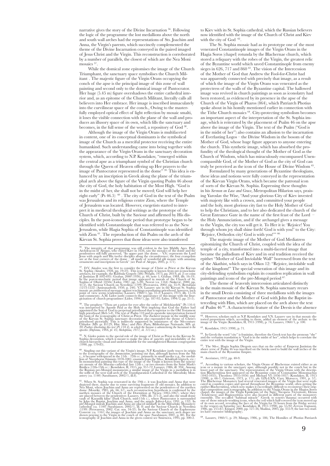narrative gives the story of the Divine Incarnation <sup>56</sup>. Following the logic of the programme the lost medallions above the north and south wall arches had the representations of Sts. Joachim and Anna, the Virgin's parents, which succinctly complemented the theme of the Divine Incarnation conveyed in the paired imaged of Jesus Christ and the Virgin. This reconstruction is corroborated by a number of parallels, the closest of which are the Nea Moni mosaics  $57$ 

While the domical zone epitomises the image of the Church Triumphant, the sanctuary space symbolises the Church Militant . The majestic figure of the Virgin Orans occupying the conch of the apse is the principal image of this zone of wall painting and second only to the domical image of Pantocrator. Her huge (5.45 m) figure overshadows the entire cathedral interior and, as an epitome of the Church Militant, literally calls all believers into Her embrace. Her image is inscribed immaculately into the curvilinear space of the conch., Owing to the masterfully employed optical effect of light reflection by mosaic smalti, it loses the visible connection with the plane of the wall and produces an illusory space of its own, which fills the sanctuary and becomes, in the full sense of the word, a repository of God 58.

Although the image of the Virgin Orans is multifaceted in content, one of its conceptual dominants is the symbolical image of the Church as a merciful protector receiving the entire humankind. Such understanding came into being together with the appearance of the Virgin Orans in the sanctuary decoration system, which, according to N.P. Kondakov, "emerged within the central apse as a triumphant symbol of the Christian church through the Queen of Heaven offering up Her prayers to the image of Pantocrator represented in the dome" <sup>59</sup>. This idea is enhanced by an inscription in Greek along the plane of the triumphal arch above the figure of the Virgin quoting Psalm 46 about the city of God, the holy habitation of the Most High. "God is in the midst of her, she shall not be moved; God will help her right early" (Ps  $46.5$ )  $^{60}$  . The city of God in the text of the Psalm was Jerusalem and its religious centre Zion, where the Temple of Jerusalem was located. However, exegetists started to interpret it in medieval theological writings as the prototype of the Church of Christ, built by the Saviour and affirmed by His disciples. In the post-iconoclastic period that prototype began to be identified with Constantinople that was referred to as the New Jerusalem, while Hagia Sophia of Constantinople was identified with Zion <sup>61</sup>. The reproduction of this Psalm on the arch of the Kievan St. Sophia proves that those ideas were also transferred

<sup>56</sup>. The integrity of that programme was still evident in the late Middle Ages. Paul, Archdeacon of Aleppo, who visited Kiev in 1656, saw the mosaics of the dome and the pendentives still fully preserved, "Its upper part

<sup>57</sup>, DV, Ainalov, was the first to consider the image of Christ as Priest at the Kievan<br>St. Sophia (Ainalov, 1928, pp. 19-23). This iconography is known from pre-iconoclastic<br>ortests, for example, the Rabbula Gospels (586

<sup>58</sup>. The prophesy "Thou art a priest for ever after the order of Mechinezdek" (Ps 110.4)<br>was interpreted by Apostle Paul as the Holy Writ implying that God the Father had<br>appointed the Son of God to perpetual pries<br>thood

 $^{59}$ . N. Gioles points to the special role of the image of Christ as Priest in the Kievan St. Sophia decoration, which is meant to make the idea of sancitiy and inviolability of the church hierarchy visual and understan

<sup>60</sup>. Singling out this variant of the Virgin's image, N.P. Kondakov justly traces its origin. To the iconography of the *Amunciation*, pointing out that, although known from the 9th c, it became widespread in the 11th - 1

<sup>61</sup>. When St. Sophia was renovated in the 19th c. it was loachim and Anna thear energy<br>depicted there, maybe due to some surviving fragments of old mosaics. In addition to<br>Nea Moni, where Joachim and Anna are represented

to Kiev with its St. Sophia cathedral, which the Russian believers now identified with the image of the Church of Christ and Kiev with the city of God 62.

The St. Sophia mosaic had as its prototype one of the most venerated Constantinople images of the Virgin Orans in the Hagia Soros (chapel) rotunda by the Blachernae church, which stored a reliquary with the robes of the Virgin, the greatest relic of the Byzantine world which saved Constantinople from enemy sieges in 626, 717 and 860<sup>63</sup>. The vision of the Intercession of the Mother of God that Andrew the Fool-for-Christ had was apparently connected with precisely that image, as a result of which the image of the Virgin Orans was venerated as the protectress of the walls of the Byzantine capital. The hallowed image was revived in church paintings as soon as iconolatry had been restored, as evidenced by its presence in the apse of the Church of the Virgin of Pharos (864), which Patriarch Photius spoke about in his homily mentioned earlier in connection with the Tithe Church mosaics 64. City-protecting symbolism becomes an important aspect of the interpretation of the St. Sophia image, which is reiterated by the placement of Psalm 46 on the apse above the image of the Virgin. The text of the Psalm ("God is in the midst of her") also contains an allusion to the incarnation of Everlasting Logos – the Divine Wisdom in the bosom of the Mother of God, whose huge figure appears to anyone entering the church. This synthetic image, which has absorbed the profundity of the theological thought of the Mother of God as the Church of Wisdom, which has miraculously encompassed Unencompassible God, of the Mother of God as the city of God can truly be perceived as the icon of the House of Divine Wisdom 65.

Formulated by many generations of Byzantine theologians, these ideas and notions were fully conveyed in the representation of the Kievan Virgin Orans, which became the patronal icon of sorts of the Kievan St. Sophia. Expressing these thoughts in his *Sermon on Law and Grace*, Metropolitan Hilarion says, praising Yaroslav the Wise, "And your glorious City of Kiev invested with majesty like with a crown, and committed your people and the holy, most glorious city fast to the Holy Mother of God to help the Christians, and to her also dedicated the church of the Great Entrance Gate in the name of the first feast of the Lord – the Holy Annunciation, and if the archangel gives a message to the Virgin, the city too will get it. To Her it is: 'Rejoice! You through whom joy shall shine forth! God is with you!' to the City: 'Rejoice, Orthodox city! God is with you!""

The majestic image of the Mother of God Mediatress epitomizing the Church of Christ, coupled with the idea of the temple of a city, transformed into a multi-faceted image that became the palladium of Kiev and in oral tradition received the epithet "Mother of God Inviolable Wall" borrowed from the text of the Akathist, which says in Oikos 12: "Rejoice, inviolable wall of the kingdom!" The special veneration of this image and its city-defending symbolism explain its countless replication in wall paintings and icons of the pre-Mongol period 67.

The theme of heavenly intercession articulated distinctly in the main mosaic of the Kievan St. Sophia sanctuary recurs in the small Deesis consisting of three medallions with the images of Pantocrator and the Mother of God with John the Baptist interceding with Him, which are placed on the arch above the text of Psalm 46 68. A characteristic feature of the Deesis is the absence

<sup>62</sup>. However, scholars such as N.P. Kondakov and V.N. Lazarev saw in that mosaic distorted proportions which, according to them, added an element of the archaic to the image of the Virgin (Kondakov, II, 1915 (1998), p. 74

<sup>63</sup>. Kondakov, 1915 (1998), p. 71.

<sup>64</sup>. In Greek the word "city" is feminine, therefore the Greek text has the pronoun "she" and the verbatim translation is "God is in the midst of her", which helps to correlate the entire text with the image of the Virgi

<sup>65</sup>. The 9th-c. Hagia Sophia Diegesis says that on the order of Emperor Justinian the above verse of Psalm 46 was inscribed on the bricks used to build the wall arches of the main church of the Byzantine Empire.

<sup>66</sup>. Averintsev, 1972, pp. 40-9.

<sup>67</sup>. According to various scholars, the Virgin Orans of Blachernae existed either as an icon or a mosaic in the sanctuary apse, although possibly not in the conch but in the lower part of the sanctuary. The representation of the Virgin Orans with the description bloch can identify the same time of the same time of the Magnetic (1042-1055). Theodora (1055-1056) and Michael VI (1055-1056) and Mi epithet Blachernitisså, which now makes it exceedingly difficult to reconstruct their original composition and iconography. In addition to the Virgin Orans in the Hagios Soros chapel, the images of the Virgin Pisiskepsis (

68. Lazarev, 1960/1, p. 29; Mango, 1986, p. 186; The Homilies of Photius Patriarch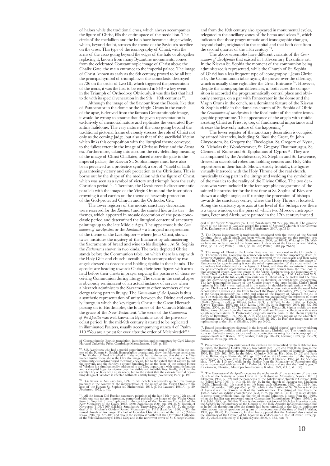of haloes while the traditional cross, which always accompanies the figure of Christ, fills the entire space of the medallion. The circle of the medallion and the halo have become a single whole, which, beyond doubt, stresses the theme of the Saviour's sacrifice on the cross. This type of the iconography of Christ, with the arms of the cross going beyond the edges of the halo or altogether replacing it, known from many Byzantine monuments, comes from the celebrated Constantinople image of Christ above the Chalke Gate, the main entrance to the imperial palace. The image of Christ, known as early as the 6th century, proved to be all but the principal symbol of triumph over the iconoclasts: destroyed in 726 on the order of Leo III, which triggered the persecution of the icons, it was the first to be restored in  $843 - a$  key event in the Triumph of Orthodoxy. Obviously, it was this fact that had to do with its special veneration in the  $9th - 10th$  centuries  $69$ .

Although the image of the Saviour from the Deesis, like that of Pantocrator in the dome or the Virgin Orans in the conch of the apse, is derived from the famous Constantinople image, it would be wrong to assume that the given representation is exclusively of memorial nature and replicates the venerated Byzantine halidome. The very nature of the cross going beyond the traditional pictorial frame obviously stresses the role of Christ not only as the coming Judge, but also as that of the sacrificial Victim, which links this composition with the liturgical theme conveyed to the fullest extent in the image of Christ as Priest and the *Eucharist*. Furthermore, taking into account the city-defending meaning of the image of Christ Chalkites, placed above the gate to the imperial palace, the Kievan St. Sophia image must have also been perceived as a protective symbol, a sort of "shield of faith" guaranteeing victory and safe protection to the Christians. This is borne out by the shape of the medallion with the figure of Christ, which was seen as a symbol of victory and triumph from the early Christian period <sup>70</sup>. Therefore, the Deesis reveals direct semantic parallels with the image of the Virgin Orans and the inscription crowning it and carries on the theme of heavenly protection of the God-protected Church and the Orthodox City.

The lower registers of the mosaic sanctuary decoration were reserved for the *Eucharist* and the sainted hierarchs tier – the themes, which appeared in mosaic decoration of the post-iconoclastic period and determined the liturgical content of sanctuary paintings up to the late Middle Ages. The uppermost is the *Communion of the Apostles* or the *Eucharist* – a liturgical interpretation of the theme of the Last Supper – where Jesus Christ, shown twice, institutes the mystery of the Eucharist by administering the Sacraments of bread and wine to his disciples . At St. Sophia the *Eucharist* is shown in two kinds. The twice depicted Christ stands before the Communion table, on which there is a cup with the Holy Gifts and church utensils. He is accompanied by two angels dressed as deacons and holding ripidia in their hands. The apostles are heading towards Christ, their bent figures with arms held before their chests in prayer copying the postures of those receiving Communion during liturgy. The scene in the central apse is obviously reminiscent of an actual instance of service when a hierarch administers the Sacrament to other members of the clergy taking part in liturgy. The *Communion of the Apostles* is thus a synthetic representation of unity between the Divine and earthly liturgy, in which the key figure is Christ – the Great Hierarch passing on to His disciples, the founders of the Church Militant, the grace of the New Testament. The scene of the *Communion of the Apostles* was well known in Byzantine art of the pre-iconoclast period. In the mid-9th century it started to be replicated in illuminated Psalters, usually accompanying stanza 4 of Psalm 110 "You are a priest for ever after the order of Melchizedek" 71

of Constantinople. English translation, introduction and commentary by Cyril Mango. Harvard University Press. Cambridge Massachusetts, 1958, p. 186.

<sup>69</sup>. S.S. Averintsev, who had a special paper interpreting the text of Psalm 46 in the con-<br>text of the Kievan St. Sophia iconographic programme, drew the following conclusion:<br>"The Moher of God is mplied in these words,

<sup>70</sup>. *The Sermon on Law and Grace*, 1997, p. 50. Scholars repeatedly quoted this passage precisely in the context of the interpretation of the image of the Virgin Orans in the apse of the Kievan St. Sophia (cf. Shcherotsk

<sup>71</sup>. All the known Old Russian sanctuary paintings of the late 11th – early 12th cc., of which one can get an impression, comprised precisely the images of the Wigm Orans from St. Sophia s. It was replicated in the conch

and from the 10th century also appeared in monumental cycles, relegated to the ancillary zones of the bema and soleas 72, which indicates that those programmatic and iconographic changes, beyond doubt, originated in the capital and that both date from the second quarter of the 11th century 73.

The above ensembles have different variants of the *Communion of the Apostles* that existed in 11th-century Byzantine art. In the Kievan St. Sophia the moment of the communion being administered is represented, while the Church of St. Sophia of Ohrid has a less frequent type of iconography – Jesus Christ is by the Communion table saying the prayer over the offerings, which is usually done right after the Great Entrance<sup>74</sup>. However, despite the iconographic differences, in both cases the composition is accorded the programmatically central place and obviously emerges, on a par with Pantocrator in the dome and the Virgin Orans in the conch, as a dominant feature of the Kievan St. Sophia while in the domeless church of St. Sophia of Ohrid the *Communion of the Apostles* is the focal point of the entire iconographic programme. The appearance of the angels with ripidia assisting Christ as Priest is, too, of fundamental importance and stresses the heavenly nature of the happening 75.

The lower register of the sanctuary decoration is occupied by sainted hierarchs, including St. Basil the Great, St. John Chrysostom, St. Gregory the Theologian, St. Gregory of Nyssa, St. Nicholas the Wonderworker, St. Gregory Thaumaturgus, St. Clement of Rome and St. Epiphanius of Cyprus 76. They are accompanied by the Archdeacons, St. Stephen and St. Lawrence, dressed in sacerdotal robes and holding censers and Holy Gifts repositories in their hands. Shown strictly frontally, the figures virtually intercede with the Holy Throne of the real church, mystically taking part in the liturgy and wedding the symbolism of the mosaics to the reality of the Divine Office. The two deacons who were included in the iconographic programme of the sainted hierarchs tier for the first time at St. Sophia of Kiev are shown at a slight angle, as if turning the procession of bishops towards the sanctuary centre, where the Holy Throne is located. Along the sanctuary apse axis at the level of the bishops row there is a triple window, on the piers of which two Moscow metropolitans, Peter and Alexis, were painted in the 17th century instead

dral of the Yuriev Monastery (ca. 1130) (Sarabianov, 2002/2, pp. 382-4). The gigantic<br>figure of the Mother of God also adorns the conch of Saviour's Church of the Convent<br>of St. Euphrosyne in Polotsk (ca. 1161) (Sarabianov

 $^{72}$ . The Deesis iconography is traditionally associated with the theme of the Second Coming, about which much has been written (historiography on this problem see: Shchenñikova, 1994, pp. 132-63; Shchennikova, 2000, pp. 400-4). Writings by Ch. Wal-<br>ter have markedly expanded the boundaries of ideas about the Decsis content (Walter,<br>1968, pp. 311-36; Walter, 1970/1, pp. 161-87; Walter

<sup>73</sup>. The image of Christ at the Chalke Gate was first mentioned in the Chronicle of Emperor Maurice (582-602). In 726, it was destroyed by the iconoclass and then twice resported impending death of emperor Maurice (582-6

<sup>74</sup>. Round icons (imagines clipeatae) in the form of a shield (clipeus) were borrowed from the late antiquity tradition and were common in early Christian art. The round shape of icons symbolised triumph, victory and had

75. Pre-iconoclastic representations of the *Eucharist* are exemplified by: the Rabbula Gos-<br>pel $(586)$ , the Rossano Codex (6th c.), two patens Dumbarton Oaks collection) and Stuma (Archaeological Muscum of Istanbul) (Gra

<sup>76</sup>. The *Communion of the Apostles* occupies the niche north of the sanctuary of the cave church of the Antivity of Jesus Christ at the Kaloritissa Monastery, Naxos (10th c.) (Skawran, 1982, p. 152) and the parabema of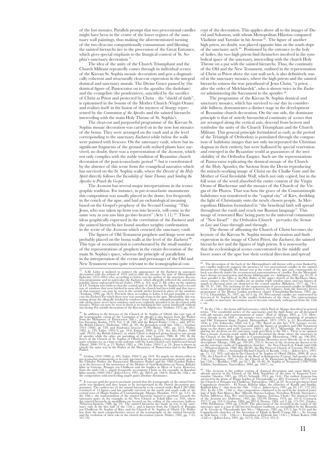of the lost mosaics. Parallels prompt that two processional candles might have been in the centre of the lower register of the sanctuary wall paintings, thus making the aforementioned turning of the two deacons compositionally consummate and likening the sainted hierarchs tier to the procession of the Great Entrance, which gives special emphasis to the liturgical context of St. Sophia's sanctuary decoration 77.

The idea of the unity of the Church Triumphant and the Church Militant repeatedly comes through in individual scenes of the Kievan St. Sophia mosaic decoration and gets a dogmatically coherent and structurally clear-cut expression in the integral domical and sanctuary murals. The Divine Grace passed by (the domical figure of) Pantocrator on to the apostles (the tholobate) and the evangelists (the pendentives), sanctified by the sacrifice of Christ as Priest and protected by Christ – the "shield of faith", is epitomised in the bosom of the Mother Church (Virgin Orans) and realises itself in the fusion of the mystery of liturey represented by the *Communion of the Apostles* and the sainted hierarchs interceding with the main Holy Throne of St. Sophia's.

The clear-cut and purposeful programme of the Kievan St. Sophia mosaic decoration was carried on in the now lost mosaics of the bema. They were arranged on the vault and at the level corresponding to the sanctuary *Eucharist* while below the walls were painted with frescoes. On the sanctuary vault, where but insignificant fragments of the ground with stylised plants have survived, no doubt, there was a representation of the *Ascension*, which not only complies with the stable tradition of Byzantine church decoration of the post-iconoclastic period 78, but is corroborated by the absence of this scene from the evangelical narrative which has survived on the St. Sophia walls, where the *Descent of the Holy Spirit* directly follows the *Incredulity of Saint Thomas* and *Sending the Apostles to Preach the Gospel*.

The *Ascension* has several major interpretations in the iconographic tradition. For instance, in pre-iconoclastic monuments this composition was usually placed in the dome, less frequently in the conch of the apse, and had an eschatological meaning based on the Gospel's prophesy of the Second Coming: "This Jesus, who was taken up from you into heaven, will come in the same way as you saw him go into heaven" (Acts 1.11)<sup>79</sup>. Those ideas graphically expressed in the correlation of the *Eucharist* and the sainted hierarchs tier found another weighty confirmation in the scene of the *Ascension* which crowned the sanctuary vault.

The figures of Old Testament prophets and kings were most probably placed on the bema walls at the level of the *Eucharist* 80. This type of reconstruction is corroborated by the small number of the representations of prophets in the extant decoration of the main St. Sophia's space, whereas the principle of parallelism in the interpretation of the events and personages of the Old and New Testament seems quite relevant to the iconographical con-

<sup>78</sup>. In addition to the frescoes of the Church of St. Sophia of Ohrid, this rare type of the Conographic canon of the Communion of the Apostles is also known from the Psalter from the Monastery of Pantocrator (9th c., gr

<sup>79</sup>. Grabar, 1934 (1968), p. 491; Lidoy, 1994/2, pp. 18-9. No angels are shown either in the Chudov Pasiter, the Partocriosclass the post-iconoclassic period, such as the Chudov Pasiter, the Pantocrator Monastery Pasiter

<sup>80</sup>. It was not until the post-iconoclastic period that the iconocraphy of the sainted hierarch archs was finalised and they began to be incorporated in the church decoration programmes. The ecaliset tier of the sainted

cept of the decoration. This applies above all to the images of David and Solomon, with whom Metropolitan Hilarion compared Vladimir and Yaroslav in his *Sermon* <sup>81</sup>. The figure of another high priest, no doubt, was placed opposite him on the south slope of the sanctuary arch 82. Positioned by the entrance to the holy of holies, the two high priests find themselves involved in the symbolical space of the sanctuary, interceding with the church Holy Throne on a par with the sainted hierarchs. Thus, the continuity of the Old and the New Testament, outlined in the representation of Christ as Priest above the east wall arch, is also definitively stated in the sanctuary mosaics, where the high priests and the sainted hierarchs witness the true priesthood of Jesus Christ, "a priest… after the order of Melchizedek", who is shown twice in the *Eucharist* administering the Sacrament to the apostles 83.

The programme of the Kievan St. Sophia domical and sanctuary mosaics, which has survived to our day in considerable fullness, demonstrates a distinct stage in the development of Byzantine church decoration. On the one side, the dominant principle is that of strictly hierarchical continuity of scenes that are arranged along the vertical axis, descend from heaven and symbolise the unity of the Church Triumphant and the Church Militant. This general principle formulated as early as the period of the Triumph of Orthodoxy is postulated through the comparison of halidome images that not only incorporated the Christian dogmas in their entirety, but were hallowed by special veneration and emerged in the Byzantine world as guarantors of the inviolability of the Orthodox Empire. Such are the representations of Pantocrator replicating the domical mosaic of the Church of the Holy Apostles, the Saviour from the Deesis reproducing the miracle-working image of Christ on the Chalke Gate and the Mother of God Inviolable Wall, which not only copied, but in the full sense of the word absorbed the entire content of the Virgin Orans of Blachernae and the mosaics of the Church of the Virgin of the Pharos. That was how the grace of the Constantinople halidomes was transferred to the "capital city" of Kiev, shedding the light of Christianity onto the newly chosen people. As Metropolitan Hilarion formulated it: "the beneficial faith will spread throughout the earth and reach our Russian language". This image of renovated Rus' being party to the universal community of "New Israel" – the Orthodox Church – pervades the *Sermon on Law and Grace* through and through .

The theme of affirming the Church of Christ becomes the keynote of the Kievan St. Sophia mosaic decoration and finds expression in the image of Christ Priest, the *Eucharist*, the sainted hierarchs tier and the figures of high priests. It is noteworthy that the ecclesiological scenes concentrated in the middle and lower zones of the apse lose their vertical direction and spread

 $81$ . The decoration of the back of the Metropolitan's old throne with a cross flanked by<br>two candles indirectly suggests the presence of two processional candles in the sainted<br>hierarchs tier. Originally the throne was a close parallel is the *Office of the Holy Futhers* at the uper church of the Bachkovo Monder assety ossuary, where two candles are on similar triple window piers, and two figures of angels in diaconal attitre are depicted

 $82$ . In the 17th c. the bema still had mosaics, which Paul of Aleppo described in general terms: "The wonderful arches of the sanctuaries and the high dome are all decorated with gilt mosaics and representations of sains<br><sup>23</sup> (Paul of Aleppo, 2005, p. 172). However, already in the 18th c. the mosaics were replaced with oil paintings of prophets<br>1856, p. 537; Kryzhanovsky, 1868, vol. I, p. 796

<sup>83</sup>. The Assension is the earliest variant of domical decoration and, most likely, was<br>already present in the Church of the Holy Sepulchre of the time of Emperor Constantine (Amalox, 1901, pp. 185-6); Schmidt, 1914, pp. of the *Ascension* see: Dufrenne, 1965, pp. 185-99; Demus, 1976, pp. 101-8; Cormack, 1977/2, pp. 162-3; Grabar, 1984, pp. 267-9; Demus, 1984, vol. I, pp. 173-241; (Gioles), 1990; Sarabianov, 1994, pp. 278-81; The placement of the *Assension* in the conch of the<br>sanctuary apse is a just as old but less frequent tradition, as exemplified by the Rotunda<br>sanctuary apse is a just as old but less f

<sup>77</sup>. A.M. Lidov is inclined to connect the appearance of the *Eucharist* in sanctuary decoration with the schism of 1054 and to date the mosaics the time of Metropolitan Ephraim (1055-1065) who, according to Lidoy, was the author of the sanctuary decoration programme and in particular the *Eucharist*, which allegedly reflected the anti-Latin polemic about unleavened bread (Lidoy, 1999, p.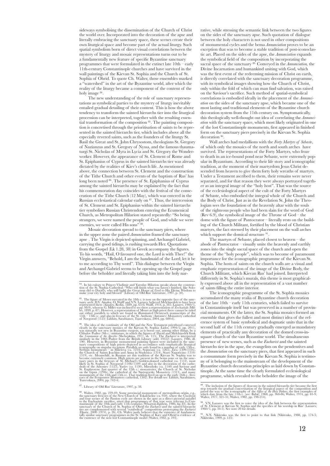sideways symbolising the dissemination of the Church of Christ the world over. Incorporated into the decoration of the apse and literally embracing the sanctuary space, these scenes create their own liturgical space and become part of the actual liturgy. Such spatial symbolism born of direct visual correlations between the mystery of liturgy and mosaic representations turns out to be a fundamentally new feature of specific Byzantine sanctuary programmes that were formulated in the extinct late 10th – early 11th-century Constantinople churches and have survived in the wall paintings of the Kievan St. Sophia and the Church of St. Sophia of Ohrid. To quote Ch. Walter, those ensembles marked a "watershed" in the art of the Byzantine world, after which the reality of the liturgy became a component of the content of the holy image  $84$ .

The new understanding of the role of sanctuary representations as symbolical parties to the mystery of liturgy inevitably entailed gradual detailing of their content. This is how the above tendency to transform the sainted hierarchs tier into the liturgical procession can be interpreted, together with the resulting essential transformation of the composition 85. The painting composition is concretised through the prioritisation of saints to be represented in the sainted hierarchs tier, which includes above all the especially revered saints, such as the founders of the liturgy St. Basil the Great and St. John Chrysostom, theologians St. Gregory of Nazianzus and St. Gregory of Nyssa, and the famous thaumaturgi St. Nicholas of Myra in Lycia and St. Gregory the Wonderworker. However, the appearance of St. Clement of Rome and St. Epiphanius of Cyprus in the sainted hierarchs tier was already dictated by the realities of Kiev's church life. As mentioned above, the connection between St. Clement and the construction of the Tithe Church and other events of the baptism of Rus' has long been noted 86. The presence of St. Epiphanius of Cyprus among the sainted hierarchs may be explained by the fact that his commemoration day coincides with the festival of the consecration of the Tithe Church (12 May), which was entered in the Russian ecclesiastical calendar early on 87. Thus, the intercession of St. Clement and St. Epiphanius within the sainted hierarchs tier symbolises Russian Christendom entering the Ecumenical Church, as Metropolitan Hilarion stated repeatedly: "So being strangers, we were named the people of God, and while we were enemies, we were called His sons"<sup>88</sup>.

Mosaic decoration spread to the sanctuary piers, where in the upper zone the paired *Annunciation* framed the sanctuary apse . The Virgin is depicted spinning, and Archangel Gabriel, carrying the good tidings, is rushing towards Her. Quotations from the Gospel (Lk 1.28, 38) in Greek accompany the figures. To his words, "Hail, O favoured one, the Lord is with Thee!" the Virgin answers, "Behold, I am the handmaid of the Lord; let it be to me according to Thy word". This dialogue between the Virgin and Archangel Gabriel seems to be opening up the Gospel page before the beholder and literally taking him into the holy nar-

<sup>86</sup>. The idea of the continuity of the Old and the New Testament priesthood conveyed clearly in the sanctuary mosaics of the Kievan St. Sophia (Lidoy, 1994/2, pp. 20-1), was naturally not new in Byzantine exegesis, as is 190). However, in Byzantine monumental painting figures were included in the sanc- tuary compositions of high priests depicted in accordance with emphatically liturgical iconógraphy on singular ôccasions. Parallels are only found in a number of early 13th-c.<br>Serbian monuments – in Mileseva (ca. 1234), Sopočani (ca. 1265), Ziča (1309-1316),<br>the Church of Saints Joachim and Anna in Studenica likely in St. Sophia of Novgorod (1108/1109) and also in the decoration of the cathed<br>drals of the Antoniev (1125), Yurev (ca. 1130), Mirozhsky (ca. 1140) and Saviour and<br>St. Euphrosyne (last quarter of the 12th c.) monast

<sup>87</sup>. Library of Old Rus' Literature, 1997, p. 38.

<sup>88</sup>. Walter, 1982, pp. 239-49. Some provincial monuments of metropolitan origin, e.g., the sanctuary frescos of the New Church of Tokali kelise (ca. 950), where the Crachtain and four scenario and four scenario and four s to the Eucharistic sacrifice, attest that programmes of that type were relevant to Con- stantinople of the 10th and early 11th centuries (Wharton-Epstein, 1986, fig. 83). In the sanctuary of the Church of St. Sophia of Ohrid the *Eucharist* and the sainted hierarchs tier are complemented with several "symbolical" compositions prototyping the *Eucharist* (D)uric, 2000 (1974), p. 26). Ch. Walter jus rative, while stressing the semantic link between the two figures on the sides of the sanctuary apse. Such quotation of dialogue between the holy characters is not used in other compositions of monumental cycles and the bema *Annunciation* proves to be an exception that was to become a stable tradition of post-iconoclastic art. Placed on the sides of the apse, the *Annunciation* expands the symbolical field of the composition by incorporating the sacral space of the sanctuary 89. Conveyed in the *Annunciation,* the Divine Incarnation and humankind uniting with God, which was the first event of the redeeming mission of Christ on earth, is directly correlated with the sanctuary decoration programme, with its symbolical images showing how the Church of Christ, only within the fold of which can man find salvation, was raised on the Saviour's sacrifice. Such method of spatial-symbolical correlations is embodied ideally in the placement of the *Annunciation* on the sides of the sanctuary apse, which became one of the most lasting and traditional elements of the Byzantine church decoration system from the 11th century on. Symptomatically, this theologically well-thought out idea of correlating the *Annunciation* with the sanctuary space, which most likely originated in one of the lost Constantinople monuments, first appeared in finished form on the sanctuary piers precisely in the Kievan St. Sophia  $decoration<sup>9</sup>$ 

Wall arches had medallions with the *Forty Martyrs of Sebaste*, of which only the mosaics of the north and south arches have survived. The representations of the Forty Martyrs, who froze to death in an ice-bound pond near Sebaste, were extremely popular in Byzantium. According to their life story and iconographic tradition, at the moment of their martyrdom Jesus Christ descended from heaven to give them forty holy wreaths of martyrs. Under a Testament ascribed to them, their remains were never separated, and for that reason they were always portrayed together as an integral image of the "holy host". That was the source of the ecclesiological aspect of the cult of the Forty Martyrs of Sebaste, who embodied the integral whole of the Church and the Body of Christ. Just as in the Revelation St. John the Theologian sees the foundation of the heavenly altar with the souls of the righteous people who had been slain for the word of God (Rev 6.9), the symbolical image of the Throne of God – the dome with the figure of Pantocrator – literally rests on the building of the Church Militant, fortified by the blood of Christian martyrs, the fact stressed by their placement on the wall arches which support the domical structure <sup>91</sup>

The martyrs of Sebaste, placed closest to heaven – the abode of Pantocrator – visually unite the heavenly and earthly zones into the single sacral space of the church and open the theme of the "holy people", which was to become of paramount importance for the iconographic programme of the Kievan St. Sophia. The hosts of saints on the church walls are a visual and emphatic representation of the image of the Divine Body, the Church Militant, which Kievan Rus' had joined. Interpreted differently in St. Sophia's murals, this theme is most graphically expressed above all in the representation of a vast number of saints filling the entire interior.

The iconographic programme of the St. Sophia mosaics accumulated the many realia of Byzantine church decoration of the late 10th – early 11th centuries, which failed to survive in Constantinople itself but was preserved in a number of provincial monuments. Of the latter, the St. Sophia mosaics formed an ensemble that gives the fullest and most distinct idea of the reference system of basic symbolical and dogmatic units that in the second half of the 11th century gradually emerged as mandatory elements of practically any decoration of the domed cross-insquare church of the vast Byzantine world. The simultaneous presence of new scenes, such as the *Eucharist* and the sainted hierarchs tier in the apse, the evangelists on the pendentives and the *Annunciation* on the sanctuary piers, that first appeared in such a consummate form precisely in the Kievan St. Sophia is testimony of it belonging to the mainstream of the development of the Byzantine church decoration principles as laid down by Constantinople. At the same time the clearly formulated ecclesiological programme, which revealed to the beholder the image of the

<sup>&</sup>lt;sup>84</sup>. In his eulogy to Princes Vladimir and Yaroslav Hilarion speaks about the construction of the St. Sophia Cathedral: "Who will finish what you haven't finished, like Solomon did to David's, who will build the Great Hou

<sup>&</sup>lt;sup>85</sup>. The figure of Moses executed in the 18th c. is now on the opposite face of the sanc-<br>tuary arch. D.V. Ainalov, O. Wulff and V.N. Lazarev believed Melchizedek to have been<br>represented there (Ainalov, Redin, 1889<sub>,</sub> pp

<sup>&</sup>lt;sup>89</sup>. The inclusion of the figures of deacons in the sainted hierarchs tier became the first step towards the gradual concretisation of the liturgical aspect of the composition and paved the way to the iconography of the *Office of the Holy Tather*s, the first examples of<br>which date from the late 1 Ith c. (see: Babic, 1968, pp. 368-86; Walter, 1974, pp. 81-9;<br>Walter, 1977, 321-31; Walter, 1982, pp. 1

<sup>&</sup>lt;sup>90</sup>. V.N. Lazarev was the first to voice the idea of the link between the representation of St. Clement at Kievan St. Sophia and the specifics of his worship in Rus' (Lazarev, 1960/1, pp. 34-5). See note 20 for details.

 $^{91}$  N.N. Nikitenko was the first to point to that link (Nikitenko, 1988, pp. 174-5; Nikitenko, 1999, p. 125).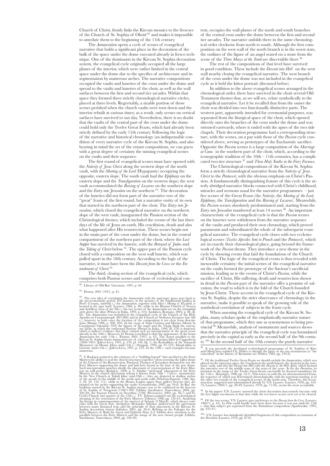Church of Christ, firmly links the Kievan mosaics to the frescoes of the Church of St. Sophia of Ohrid 92 and makes it impossible to antedate them to the beginning of the 11th century.

The *Annunciation* opens a cycle of scenes of evangelical narrative that holds a significant place in the decoration of the bulk of the space under the dome executed already in fresco technique. One of the dominants in the Kievan St. Sophia decoration system, the evangelical cycle originally occupied all the large planes of the interior, which were rather limited in the central space under the dome due to the specifics of architecture and its segmentation by numerous arches. The narrative compositions occupied the vaults and lunettes of the cross under the dome and spread to the vaults and lunettes of the choir, as well as the wall surfaces between the first and second tier arcades. Within that space they formed three strictly chronological narrative circles, placed at three levels. Regrettably, a sizable portion of those scenes perished when the church vaults were torn down and the interior rebuilt at various times; as a result, only scenes on vertical surfaces have survived to our day. Nevertheless, there is no doubt that the vaults of the central part of the cross under the dome could hold only the Twelve Great Feasts, which had already been strictly defined by the early 11th century. Following the logic of the narrative and historical chronology (an indispensable condition of every narrative cycle of the Kievan St. Sophia, and also bearing in mind the set of the extant compositions, we can guess with a great degree of certainty the missing evangelical scenes on the vaults and their sequence.

The first round of evangelical scenes must have opened with the *Nativity of Jesus Christ* along the western slope of the north vault, with the *Meeting of the Lord* (Hypapante) occupying the opposite, eastern slope. The south vault had the *Epiphany* on the eastern slope and the *Transfiguration* on the western slope; the west vault accommodated the *Raising of Lazarus* on the southern slope and the *Entry into Jerusalem* on the northern 93. The decoration of the lunettes did not form part of the narrative row of the "great" feasts of the first round, but a narrative entity of its own that started in the northern part of the choir. The *Entry into Jerusalem*, which closed the evangelical narrative on the northern slope of the west vault, inaugurated the Passion section of the Christological themes, which included the events of the last three days of the life of Jesus on earth, His crucifixion, death and also what happened after His resurrection. These scenes begin not in the main part of the cross under the dome, but in the central compartment of the northern part of the choir, where the *Last Supper* has survived in the lunette, with the *Betrayal of Judas* and the *Taking of Christ* below 94. The upper part of the Passion cycle closed with a composition on the west wall lunette, which was pulled apart in the 18th century. According to the logic of the narrative, it must have been the *Descent from the Cross* or the *Entombment of Christ* 95.

The third, closing section of the evangelical cycle, which comprises both Passion scenes and those of ecclesiological con-

<sup>94</sup>. The very idea of correlating the *Annunciation* with the sanctuary space goes back to the pre-iconoclastic period. For instance, in the mosaics of the Euphrasian basilica in Poreč (Croatia, mid-6th c.) the *Annunciation*, together with *Mary's Meeting of Elizabeth*, is located in the apse itself (Lazarev, 1986, p. 48), while in the Roman Church of Nereus and Achilleus (turn of the 9th c.) the two scenes of the *Annunciation* are on the triumphal arch above the altar (Pittura in Italia, 1994, p. 216; Andaloro, Romano, 2002, p. 86, ill. 66). The *Annunciation* was included in the evangelical cycle of the Church of the Holy Apostles in Constantinople (867-886) and in the Church of Stylianos Zaoutzes (late 9th c.), however, in both cases the location of the composition is not clear from descrip- tions (Mango 1986, p. 200, 204). In the crypt of Saint Cristina and Marina (Maria) in Carpignano Salentino (959) the figures of the angel and the Virgin flank the sancture<br>grid may inche, in which the enthroned Saviour (Pittura in Italia, 1994; ill. 378) is depicted, which is indirect evidence that there ex

<sup>955</sup>. S. Radojcic pointed to the existence of a "bulding legend" that as<br>cribed to the Corty Marrys supporting the church structures together; when restoring the fallen dome<br>of the Church of the Resurrection, Patriarch T

tent, occupies the wall planes of the north and south branches of the central cross under the dome between the first and second tier arcades. The narrative unfolds there in the same chronological order clockwise from north to south. Although the first composition on the west wall of the north branch is in the worst state, the outlines of the figure of an angel seated on a stone from the scene of the *Three Marys at the Tomb* are discernible there 9

The rest of the compositions of that level have survived in good condition. These include the *Descent into Hell* on the west wall nearby closing the evangelical narrative. The west branch of the cross under the dome was not included in the evangelical cycle as it held the ktitor portrait (discussed below).

In addition to the above evangelical scenes arranged in the chronological order, there have survived in the choir several Old Testament themes that, as we will see, relate symbolically to the evangelical narrative. Let it be recalled that from the outset the choir was divided into two functionally distinctive parts. The western part, apparently intended for ceremonial purposes, was separated from the liturgical space of the choir, which opened directly onto the branches of the cross under the dome and was oriented eastwards, where it ended with the apses of the two side chapels. Their decoration programme had a corresponding structure, with the scenes, on a par with those of the *Passion* cycle considered above, serving as prototypes of the Eucharistic sacrifice. Opposite the *Passion* scenes is a large composition of the *Marriage at Cana* in the southern part of the choir, which, according to the iconographic tradition of the  $10th - 11th$  centuries, has a complicated two-tier structure 97 and *Three Holy Youths in the Fiery Furnace*.

The Christological compositions of the Kievan St. Sophia form a strictly chronological narrative from the *Nativity of Jesus Christ* to the *Pentacost*, with the obvious emphasis on Christ's Passion. A fundamentally distinguishing feature of this cycle is the utterly abridged narrative blocks connected with Christ's childhood, miracles and sermons usual for the narrative programmes – just five scenes of the Great Feasts (the *Nativity*, the *Meeting of the Lord*, *Epiphany*, the *Transfiguration* and the *Raising of Lazarus*). Meanwhile, the *Passion* scenes absolutely predominated and, starting from the *Entry into Terusalem* numbered at least 14 scenes <sup>98</sup>. An important characteristic of the evangelical cycle is that the *Passion* scenes on the lunettes were withdrawn from the narrative sequence of the vaults and produced their own chronology, which proved paramount and subordinated the whole of the subsequent evangelical narrative. The evangelical cycle closes with two ecclesiological scenes (*Twelve Apostles Sent to Preach* and the *Pentacost*), which are in exactly their chronological place, going beyond the framework of the *Passion* theme. They introduce a new theme in the cycle by showing events that laid the foundations of the Church of Christ. The logic of the evangelical events is thus revealed with inexorable certainty: the initial scenes of the evangelical narrative on the vaults formed the prototype of the Saviour's sacrificial mission, leading us to the events of Christ's *Passion*, while the sacrifice of Christ, His suffering, death and resurrection shown in detail in the *Passion* part of the narrative offer a promise of salvation, the road to which is in the fold of the Church founded by Jesus Christ. These accents in the evangelical cycle of the Kievan St. Sophia, despite the strict observance of chronology in the narrative, make it possible to speak of the growing role of the symbolical correlation of subjects in the feasts cycle.

When assessing the evangelical cycle of the Kievan St. Sophia, many scholars spoke of the emphatically narrative nature of that programme, which they saw as synonymous to being provincial <sup>59.</sup> Meanwhile, analysis of monuments and sources shows that the narrative principle of the evangelical cycle was formulated precisely in the capital as early as the second half of the 9th century 100. In the second half of the 10th century the purely narrative

<sup>96</sup>. It was precisely the developed ecclesiological programme of St. Sophias of Kiev<br>and Ohrid that enabled Ch. Walter to identify the place of the two monuments as "the<br>watershed" in the history of Byzantine art (Walter,

<sup>97</sup>. Of the traditional Twelve Great Feasts we should exclude the *Ammaciation*, which was placed on the sanctuary piers, the *Gruejtpion* in the south lunette, the *Ascension* in the sanctuary vault, and also the *Desce* 

<sup>98</sup>. In his papers V.N. Lazarev assessed the choir decoration inaccurately because only the *Last Supper* was known at that time while the two lower scenes were yet to be

 $^{99}$ . Of the two scenes, V.N. Lazarev gave preference to the *Descent from the Cross* (Lazarev, 1960/1, p. 43). La Piela could hardly have been there because it was not until the 12th c. that that subject got separated

<sup>100</sup>. V.N. Lazarev has mistakenly identified fragments of this composition as remnants of the *Dormition* (Lazarev, 1978, pp. 87-8).

<sup>92</sup>. Library of Old Rus' Literature, 1997, p. 40.

<sup>93</sup>. Demus, 2001 (1947), p. 45.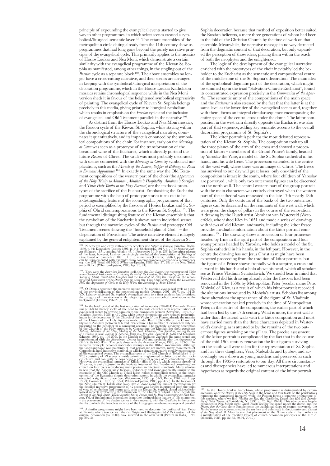principle of expounding the evangelical events started to give way to other programmes, in which select scenes created a symbolical/liturgical semantic layer 101. The extant ensembles of the metropolitan circle dating already from the 11th century show us programmes that had long gone beyond the purely narrative principle of the evangelical cycle. This primarily applies to the mosaics of Hosios Loukas and Nea Moni, which demonstrate a certain similarity with the evangelical programme of the Kievan St. Sophia as manifested, among other things, in the singling out of the *Passion* cycle as a separate block <sup>102</sup>. The above ensembles no longer have a cross-cutting narrative, and their scenes are arranged in keeping with the symbolical/liturgical interpretation of the decoration programme, which in the Hosios Loukas Katholikon mosaics retains chronological sequence while in the Nea Moni version sheds it in favour of the heightened symbolical expressivity of painting. The evangelical cycle of Kievan St. Sophia belongs precisely to this media, giving priority to liturgical symbolism, which results in emphasis on the *Passion* cycle and the inclusion of evangelical and Old Testament parallels in the narrative 103.

As distinct from the Hosios Loukas and Nea Moni mosaics, the Passion cycle of the Kievan St. Sophia, while staying within the chronological structure of the evangelical narrative, dominates it quantitatively, and its impact is enhanced by the symbolical compositions of the choir. For instance, early on the *Marriage at Cana* was seen as a prototype of the transformation of the bread and wine of the Eucharist, which indirectly portend the future *Passion* of Christ. The vault was most probably decorated with scenes connected with the *Marriage at Cana* by symbolical implications, such as the *Miracle of the Loaves*, *Supper at Bethany* or *Road*  to Emmaus Appearance<sup>104.</sup> In exactly the same way the Old Testament compositions of the western part of the choir (the *Appearance of the Holy Trinity to Abraham*, *Abraham's Hospitality*, *Abraham's Sacrifice* and *Three Holy Youths in the Fiery Furnace*) are the textbook prototypes of the sacrifice of the Eucharist. Emphasising the Eucharist programme with the help of prototype stories turns out to be a distinguishing feature of the iconographic programmes of that period as exemplified by the frescoes of Hosios Loukas and St. Sophia of Ohrid contemporaneous to the Kievan St. Sophia 105. The fundamental distinguishing feature of the Kievan ensemble is that the symbolism of the Eucharist is shown not in individual scenes, but through the narrative cycles of the *Passion* and prototype Old Testament scenes showing the "household plan of God" dispensation of Providence. The active narrative element is largely explained by the general enlightenment thrust of the Kievan St.

<sup>101</sup>. Nineteenth and early 20th-century scholars saw Suppler in Emmanus (Ainalov, Redin, 1889, p. 94; Kondakov, Tolstoy, 1891, p. 141; Shcherotsky, 1917, p. 70) or Supper in Beth-<br>or the fast, however, Lazzarev convincin

<sup>102</sup>. They were the *Entry into Jerusalem* itself, then the *Last Supper*, the reconstructed *Christin the Graden of Geltisemane* and *Washing the Feel of the Disciples*, the *Betrayal of Judas* and the *Taking of Christ* 

<sup>103</sup>. O. Demus described the narrative nature of St. Sophia's evangelical cycle as a sign<br>of the provincialisation of the metropolitan models (Demus, 2001 (1947), pp. 101-2).<br>V.N. Lazarev subjected St. Sophia's evangelica the category of narrativeness while relegating intricate symbolical correlations to the background (Lazarev, 1960/1, p. 44).

<sup>104</sup>. In the brief period of the first restoration of iconolatry (787-814) Patriarch Thara-<br>sius (784-806) already spoke of the need to decorate churches with representations of<br>eyangelical scenes to provide parallels to Wharton-Epstein, 1986, p. 46j. Now while theme compositions were reduced to the mini-<br>mum in the decoration of the Church of the Virgin of the Pharos, already the mosaics<br>of the Church of the Holy Apostles made under Basi suppliemented with the *Entimbenet*, Desert into *Ethil* and probably also the *Appearance of*<br>Christ to the Holy Wrees. The cycle closes with the *Ascension* (Mango, 1986, pp. 203-5). The<br>chrast comparative principle bec Déscent of the Holf Spirit, Tückee Apostles Sent to Preach and St. Peter Consecrating the First Dear<br>cons. Yet, of fundamental importance is another distinguishing feature of this monument<br>— the placement of five Passion s Sophia decoration because that method of exposition better suited the Russian believers, a mere three generations of whom had been in the fold of the Christian Church by the time of work on that ensemble. Meanwhile, the narrative message in no way detracted from the dogmatic content of that decoration, but only expanded the perception of those ideas, placing them within the reach of both the neophytes and the enlightened.

The logic of the development of the evangelical narrative enriched with the prototypes of the choir inevitably led the beholder to the Eucharist as the semantic and compositional centre of the middle zone of the St. Sophia's decoration. The main idea of the symbolical-dogmatic part of the decoration, which might be summed up in the triad "Salvation-Church-Eucharist", found its concentrated expression precisely in the *Communion of the Apostles*. The semantic unity of the compositions of the main space and the *Eucharist* is also stressed by the fact that the latter is at the same level as the lower tier of the evangelical scenes and, together with them, forms an integral circular sequence encompassing the entire space of the central cross under the dome. The ktitor composition in the west arm directly opposite the Eucharist was also part of that sequence, adding key semantic accents to the overall decoration programme of St. Sophia's .

The ktitor portrait is perhaps the most debated representation of the Kievan St. Sophia. The composition took up all the three planes of the arm of the cross and showed a procession of ktitors – members of the Grand Prince's family, headed by Yaroslav the Wise, a model of the St. Sophia cathedral in his hand, and his wife Irene. The procession extended to the centre of the west wall, where there was an image of Christ. The fresco has survived to our day will great losses: only one-third of the composition is intact in the south, where four children of Yaroslav are portrayed , while only two outermost figures can be discerned on the north wall. The central western part of the group portrait with the main characters was entirely destroyed when the western part of the cathedral was renovated in the late 17th – early 18th centuries. Only the contours of the backs of the two outermost figures can be discerned on the remnants of the west wall, which were given the shape of pillars in the course of the renovation. A drawing by the Dutch artist Abraham van Westerveld (Westerfeld), who visited Kiev in 1651 and made a series of drawings with views of old Kievan landmarks, including the ktitor fresco, provides invaluable information about the ktitor portrait composition 106. The drawing shows a procession of four princesses headed by Irine in the right part of the composition and four young princes headed by Yaroslav, who holds a model of the St. Sophia cathedral in his hands, in the left part. However, in the centre the drawing has not Jesus Christ as might have been expected proceeding from the tradition of ktitor portraits, but the figure of a Prince shown frontally with a sceptre, a cross and a sword in his hands and a halo above his head, which all scholars see as Prince Vladimir Sviatoslavich. We should bear in mind that Westerveld did his drawing already after the frescoes had been renovated in the 1630s by Metropolitan Peter (secular name Petro Mohyla) of Kiev, as a result of which his ktitor portrait recorded the alterations introduced by Mohyla's artists. Scholars list among those alterations the appearance of the figure of St. Vladimir, whose veneration peaked precisely in the time of Metropolitan Peter, in the centre of the composition, the earlier part of which had been lost by the 17th century. What is more, the west wall is wider than the lateral walls with the ktitor composition and must have carried more than the three characters depicted in Westerveld's drawing, as is attested to by the remains of the two outermost figures surviving on the pillars. The precise assessment of the ktitor portrait is complicated by the fact that in the course of the mid-19th century renovation the four figures surviving on the south wall were taken for the representation of St. Sophia and her three daughters, Vera, Nadezhda and Lyubov, and accordingly were shown as young maidens and preserved as such through the 1935-6 restoration to our day. All these circumstances and discrepancies have led to numerous interpretations and hypotheses as regards the original content of the ktitor portrait,

<sup>&</sup>lt;sup>105</sup>. A similar programme might have been used to decorate the basilica of San Pietro<br>at Otranto, where two scenes – the *Last Supper* and *Washing the Feet of the Disciples* – of the<br>original decoration (ca. 1000) have

<sup>&</sup>lt;sup>106</sup>. In the Hosios Loukas Katholikon, whose programme is distinguished by certain archaism, only the *Descart of the Holy Sprit* in the berna and four feasts on the pendentives represent the evangelical narrative while t the narthex, where we find *Washing the Feet*, the *Crucifixion, Descent into Hell* and *Incredu-*<br>*lity of Saint Thomas* (Chatzidakis, N., 1997, p. 25, figs. 19-24). This scheme was largely<br>expanded in Nea Moni: eight Gre Descent from the Costs alone complements the traditional range of scenes; conversely, the Passion escenes are concentrated in the narthex and culminate in the Ascension and Descent of the Hofy Spirit. D. Mouriki saw that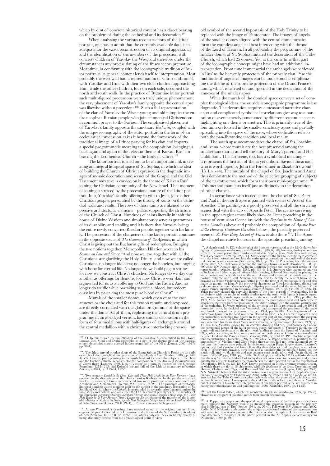which by dint of concrete historical content has a direct bearing on the problem of dating the cathedral and its decoration

When analysing the various reconstructions of the ktitor portrait, one has to admit that the currently available data is inadequate for the exact reconstruction of its original appearance and the identification of the members of the procession with concrete children of Yaroslav the Wise, and therefore under the circumstances any precise dating of the fresco seems premature. Meantime, in conformity with the iconographic tradition of ktitor portraits its general content lends itself to interpretation. Most probably the west wall had a representation of Christ enthroned, with Yaroslav and Irine with their two elder children approaching Him, while the other children, four on each side, occupied the north and south walls. In the practice of Byzantine ktitor portrait such multi-figured processions were a truly unique phenomenon: the very placement of Yaroslav's family opposite the central apse was likewise without precedent <sup>108</sup>. Such a full representation of the clan of Yaroslav the Wise – young and old – implies the entire neophyte Russian people who join ecumenical Christendom in common prayer to the Saviour. The emphasised placement of Yaroslav's family opposite the sanctuary *Eucharist*, coupled with the unique iconography of the ktitor portrait in the form of an ecclesiastical procession, takes it beyond the framework of the traditional image of a Prince praying for his clan and imparts a special programmatic meaning to the composition, bringing us back again and again to the relevant theme of Kievan Rus' embracing the Ecumenical Church – the Body of Christ 109.

The ktitor portrait turned out to be an important link in creating an integral liturgical space of St. Sophia, in which the idea of building the Church of Christ expressed in the dogmatic images of mosaic decoration and scenes of the Gospel and the Old Testament narrative is carried on in the theme of Kievan Rus' joining the Christian community of the New Israel. That moment of joining is stressed by the processional nature of the ktitor portrait. In it, Yaroslav's family, offering its gifts to Jesus, joins other Christian peoples personified by the throng of saints on the cathedral walls and vaults. The rows of those saints are likened to expressive architectonic elements – pillars supporting the structure of the Church of Christ. Hundreds of saints literally inhabit the house of Divine Wisdom and simultaneously serve as guarantors of its durability and stability, and it is there that Yaroslav brings the entire newly converted Russian people, together with his family. The procession of the characters of the ktitor portrait continues in the opposite scene of *The Communion of the Apostles*, in which Christ is giving out the Eucharist gifts of redemption. Bringing the two notions together, Metropolitan Hilarion wrote in his *Sermon on Law and Grace*: "And now we, too, together with all the Christians, are glorifying the Holy Trinity and now we are called Christians, no longer idolaters; no longer the hopeless, but longing with hope for eternal life. No longer do we build pagan shrines, for now we construct Christ's churches. No longer do we slay one another as offerings for demons, for now Christ is ever slain and segmented for us as an offering to God and the Father. And no longer do we die while partaking sacrificial blood, but redeem ourselves by partaking the most pure blood of Christ" 110

Murals of the smaller domes, which open onto the east annexes or the choir and for this reason remain underexposed, are directly correlated with the global programme of the space under the dome. All of them, replicating the central drum programme in an abridged version, have similar decoration in the form of four medallions with half-figures of archangels around the central medallion with a chrism (two interlocking crosses) – an old symbol of the second hypostasis of the Holy Trinity to be replaced with the image of Pantocrator. The images of angels of the smaller domes aligned with the central dome mosaics form the countless angelical host interceding with the throne of the Lord of Heaven. In all probability the programme of the smaller domes of St. Sophia imitated the decoration of the Tithe Church, which had 25 domes. Yet, at the same time that part of the iconographic concept might have had an additional interpretation. From time immemorial the archangels were viewed in Rus' as the heavenly protectors of the princely clan 111, so the multitude of angelical images can be understood as emphasizing the theme of the supreme protection of the Grand Prince's family, which is carried on and specified in the dedication of the annexes of the smaller apses.

While the murals of the domical space convey a set of complex theological ideas, the outside iconographic programme is less dogmatic. The decoration acquires a measured narrative character and complicated symbolical correlations give way to a narration of events merely punctuated by different semantic accents highlighting one theme or another. This is primarily true of the four annexes located in the smaller sanctuary apses and partially spreading into the space of the naos, whose dedication reflects both the pan-Byzantine tradition and local reality.

The south apse accommodates the chapel of Sts. Joachim and Anna, whose murals are the best preserved among the smaller sanctuaries and tell the story of Mary's parents and Her childhood . The last scene, too, has a symbolical meaning – it represents the first act of the as yet unborn Saviour Incarnate, who is worshipped by John the Forerunner in Elizabeth's womb (Lk 1.41-44). The murals of the chapel of Sts. Joachim and Anna thus demonstrate the method of the selective grouping of subjects of the narrative row, which form their own mini-programme This method manifests itself just as distinctly in the decoration of other chapels.

In accordance with its dedication the chapel of Sts. Peter and Paul in the north apse is painted with scenes of Acts of the Apostles. The paintings are poorly preserved and all the surviving scenes deal with the acts of Apostle Peter. The scenes surviving in the upper register most likely show St. Peter preaching in the house of centurion Cornelius, with the *Baptism in the House of Centurion Cornelius* above and probably the composition of *Apostle Peter at the House of Centurion Cornelius* below ; the partially preserved scene of *St. Peter Being Let out of Prison* is also there <sup>113</sup>. The Apos-<br>tles chapel narrative focusses on the apostolic preaching among tles chapel narrative focusses on the apostolic preaching among

<sup>111</sup>. A sketch made by EG. Shohuse after the free.coes were cleared in the 1840s shows four four figures of primesses on the south wall (Vysotsky, 1989, fig. 28); however, during renovation with of the same period the v N.N. Nikitenko believes that the kitor portrait was a representation of St. Sophia's conservation, crystally cancination crystally conservation in the Prince holding a model of not St. Sophia's but the Tithe Church as a ta

 $^{107}$ . O. Demus viewed the complication of the narrative as exemplified by the Hosios Loukas, Nea Moni and Dafni ensembles as a sign of the degradation of the classical church decoration system evolved in the second hal

<sup>&</sup>lt;sup>108</sup>. The 5th-c, carved wooden doors of the Santa Sabina Church in Rome are an early<br>example of the symbolical interpretation of the *Minade at Cana* (Grabar, 1980, pp. 142-<br>4). V.N. Lazarev, justly pointing to the symbol and the Eucharist theme, reconstructed the composition of the *Mirate of Loaves* there (Lazarev, 1960/1, p. 49), ctimg as a parallel frescoes of the Georgian<br>Bertubani (1212-1213) and Kolagen (second half of the 13th c.) m

<sup>&</sup>lt;sup>109</sup>. Two scenes – *Daniel in the Lions' Den* and *Three Holy Youths in the Fiery Furnace* – have survived in the claconicon of the Hosios Loukas Katholicon. In the parabema, which has lost its mosaics, Demus reconstruct the Eucharist (Abraham's Sacrifice, Abraham Meeting the Angels, Abraham's Hospitality, the Three<br>Holy Youths in the Fiery Furnace, Jacob's Dream) or the prototype of the mystery of the liturgy<br>(the Ministry of St. Basil th

 $^{110}$ . A. van Westerveld's drawings have reached us not in the original but as 18th-c. engraved copies discovered by Ia.I. Smirnov at the library of the St. Petersburg Academy of Arts (Smirnov, Ia., 1998, pp. 239-40) so

<sup>112</sup>. ") of the Great Palace, which was mentioned in *Vita Basilii* (Mango, 1986, pp. 197-8). However, it was part of palatine rather than church decoration.

<sup>&</sup>lt;sup>113</sup>. A. Poppe, who pinpointed the special sacral importance of the ktitor portrait's placement opposite the *Eucharist*, took it as stressing the apostolic mission of the princely claim in the baptism of Rus' (Poppe, 19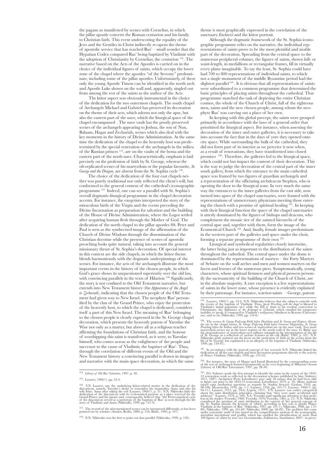the pagans as manifested by scenes with Cornelius, in which the pillar apostle converts the Roman centurion and his family to Christian faith. This event underscoring the equality of the Jews and the Gentiles in Christ indirectly re-opens the theme of apostolic service that has reached Rus' – small wonder that the Hypatian Codex compared Rus' being baptized by Vladimir with the adoption of Christianity by Cornelius, the centurion 114. The narrative based on the Acts of the Apostles is carried on in the choice of the individual figures of saints, which occupy the lower zone of the chapel where the apostles "of the Seventy" predominate, including some of the pillar apostles. Unfortunately, of these only the young Apostle Timon can be identified in the north arch and Apostle Luke shown on the wall and, apparently, singled out from among the rest of the saints as the author of the Acts.

The ktitor aspect was obviously instrumental in the choice of the dedication for the two outermost chapels. The south chapel of Archangels Michael and Gabriel has preserved its decoration on the theme of their acts, which adorns not only the apse, but also the eastern part of the nave, which the liturgical space of the chapel encompassed . The nave vault has the poorly preserved scenes of the archangels appearing to Joshua, the son of Nun, Balaam, Hagar and Zechariah, scenes which also deal with the key moments in the history of Divine Administration. At the same time the dedication of the chapel to the heavenly host was predetermined by the special veneration of the archangels in the milieu of the Russian princes 115, are on the vaults of the bema and the eastern part of the north nave. Characteristically, emphasis is laid precisely on the profession of faith by St. George, whereas the oft-replicated scenes of his martyrdom or the popular favourite, *St. George and the Dragon,* are absent from the St. Sophia cycle <sup>1</sup>

The choice of the dedication of the four east chapels neither was purely traditional nor only reflected the client's will, but conformed to the general content of the cathedral's iconographic programme 117. Indeed, one can see a parallel with St. Sophia's overall dogmatic-liturgical programme in the chapel decoration accents. For instance, the exegetists interpreted the story of the miraculous birth of the Virgin and the events preceding the Divine Incarnation as preparation for salvation and the building of the House of Divine Administration, where the Logos settled after acquiring human flesh through the Mother of God. The dedication of the north chapel to the pillar apostles SS. Peter and Paul is seen as the synthecised image of the affirmation of the Church of Divine Wisdom through the dissemination of the Christian doctrine while the presence of scenes of apostolic preaching looks quite natural, taking into account the general missionary thrust of St. Sophia's decoration. Of special interest in this context are the side chapels, in which the ktitor theme blends harmoniously with the dogmatic underpinnings of the scenes. For instance, the acts of the archangels illustrate the most important events in the history of the chosen people, in which God's grace shows its unquestioned superiority over the old law, with convincing parallels in the texts of Hilarion  $^{118}$ . Significantly, the story is not confined to the Old Testament narrative, but extends into New Testament history (the*Appearance of the Angel to Zechariah*), indicating that the chosen people of the Old Testament had given way to New Israel. The neophyte Rus' personified by the clan of the Grand Prince, who enjoy the protection of the heavenly host, to which the chapel is dedicated, considers itself a part of this New Israel. The meaning of Rus' belonging to the chosen people is clearly expressed in the St. George chapel decoration, which presents the heavenly patron of Yaroslav the Wise not only as a martyr, but above all as a religious teacher affirming the foundations of Christian faith, and the honour of worshipping this saint is transferred, as it were, to Yaroslav himself, who comes across as the enlightener of the people and successor to the cause of Vladimir, the baptiser of Rus'. Thus, through the correlation of different events of the Old and the New Testament history a convincing parallel is drawn in imagery and narrative with the main space decoration, in which the same

theme is most graphically expressed in the correlation of the sanctuary *Eucharist* and the ktitor portrait.

Although the dogmatic framework of the St. Sophia iconographic programme relies on the narrative, the individual representations of saints prove to be the most plentiful and sizable part of the decoration. Spreading from the central space to the numerous peripheral volumes, the figures of saints, shown full- or waist-length, in medallions or rectangular frames, fill in virtually every plane imaginable. To say the least, St. Sophia could have had 700 to 800 representations of individual saints, to which not a single monument of the middle Byzantine period had the slightest parallel<sup>119</sup>. It is obvious that all representations of saints were subordinated to a common programme that determined the basic principles of placing saints throughout the cathedral. That programme matched the task of depicting the entire Christian cosmos, the whole of the Church of Christ, full of the righteous men, saints and the new chosen people, among whom the neophyte Rus' was carving out a place of her own.

In keeping with this global precept, the saints were grouped primarily in accordance with the laws of a general order that prioritised the liturgical aspect. For instance, when assessing the decoration of the inner and outer galleries, it is necessary to take into account the fact that in the days of yore they opened onto city space. While surrounding the bulk of the cathedral, they did not form part of its interior as we perceive it now when, as a result of renovations, they have transformed into closed premises 120. Therefore, the galleries led to the liturgical space, which could not but impact the content of their decoration. This is the way to judge the decoration of the central part of the inner south gallery, from which the entrance to the main cathedral space was framed by two figures of guardian archangels and a representation of the officiating archdeacon Stephen, who is opening the door to the liturgical zone. In very much the same way the entrances to the inner galleries from the east side, now turned into apses of the chapel sanctuaries, were framed with the representations of unmercenary physicians meeting those entering the church with a promise of spiritual healing 121. In keeping with their liturgical function the space of the chapel sanctuaries is utterly dominated by the figures of bishops and deacons, who complement the mosaic tier of the sainted hierarchs of the central apse and, together with them, form the image of the Ecumenical Church 122. And, finally, female images predominate in the western part of the galleries and space under the choir, forming a separate programme of their own 123.

Liturgical and symbolical regularities closely intertwine, the latter being just as important to the distribution of the saints throughout the cathedral. The central space under the dome is dominated by the representations of martyrs – the Forty Martyrs of Sebaste on the wall arches and men and women martyrs on the facets and lesenes of the numerous piers. Symptomatically, young characters, whose spiritual firmness and physical prowess personify the sacrosanctity of the building of the Church of Christ, are in the absolute majority. A rare exception is a few representations of saints in the lower zone, whose presence is evidently explained by their patronage. For instance, warrior-saints – George, patron

 $^{121}$ . In accordance with the general concept of her research N.N. Nikitenko linked the cast characteristic of the rest chapted dedication of all the cast character of Prince Vladimir (Nikitenko, 1999, pp. 133-52).

 $^{122}$  . For instance, the story of Hagar and Ismail illustrated by the corresponding scene of the acts of archangels featured prominently at the very beginning of Hilarion's *Sermon* (Library of Old Rus' Literuature, 19

<sup>114</sup>. *Library of Old Rus' Literature*, 1997, p. 38.

<sup>115</sup>. Lazarev, 1960/1, pp. 52-4.

<sup>&</sup>lt;sup>116</sup>. V.N. Lazarev saw the underlying kitior-related motive in the dedication of the diaconicon, namely, Yaroslav's desire to remember his stepmother Anna and also his wife line, Anna after taking the yeil (Lazarev, 1960

<sup>117</sup>. The second of the aforementioned scenes can be interpreted differently, as has been pointed out by scholars (Ainalov, Redin, 1889, p. 316; Babić, 1969, p. 107).

<sup>118</sup>. N.N. Nikitenko was the first to point out that parallel (Nikitenko, 1999, p. 150).

 $^{119}$  Lazarev, 1960/1, pp. 52-4. N.N. Nikitenko believes that the subjects coincide with the events of the baptism of Vladimir. Thus,  $\frac{1}{100}$  of the Magnitical parameter of the Magnitic method of the Magnitic Substi

<sup>&</sup>lt;sup>120</sup>. The scenes *St. George Professing Faith before Dioeletian* and *St. George and Empress Alexandra a* ere in the chapel berma, *St. George Professing Faith before Goernary Meaching before the Soldiers* and two scenes

<sup>&</sup>lt;sup>123</sup> FG. Solntsev made the first attempt to identify the sains in the course of the 1843-3 FG. Solntsev gas erfected in the decoration schemes published by him (Solntsev 1871, 1887). Archpriest Pyott Lebedintsev gave onl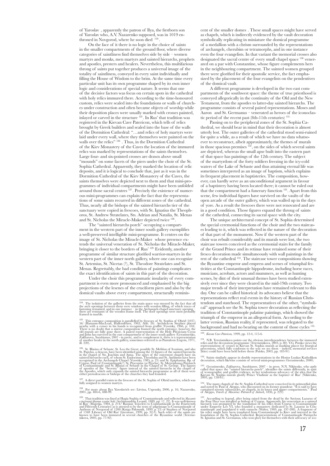of Yaroslav , apparently the patron of Ilya, the firstborn son of Yaroslav who, A.V. Nazarenko supposed, was in 1019 enthroned in Novgorod, where he soon died <sup>124</sup>

On the face of it there is no logic in the choice of saints in the smaller compartments of the ground floor, where diverse categories of saintliness find themselves side by side – women martyrs and monks, men martyrs and sainted hierarchs, prophets and apostles, presters and healers. Nevertheless, this multifarious throng of saints put together produces a universal image of the totality of saintliness, conveyed in every saint individually and filling the House of Wisdom to the brim. At the same time every particular unit has its own programme shaped by its own inner logic and considerations of special nature. It seems that one of the decisive factors was focus on certain spots in the cathedral with holy relics immured there. According to the time-honoured custom, relics were sealed into the foundations or walls of churches under construction and often became objects of worship while their deposition places were usually marked with crosses painted, inlayed or carved in the structure 125 . In Rus' that tradition was registered in the Kievan Cave Patericon, which tells of relics brought by Greek builders and sealed into the base of the walls of the Dormition Cathedral: "…and relics of holy martyrs were laid under every wall, where they themselves were painted on the walls over the relics"  $^{126}$ . Thus, in the Dormition Cathedral of the Kiev Monastery of the Caves the location of the immured relics was marked by representations of the saints themselves. Large four- and six-pointed crosses are drawn above small "mounds" on some facets of the piers under the choir of the St. Sophia Cathedral. Apparently, they marked the location of relic deposits, and it is logical to conclude that, just as it was in the Dormition Cathedral of the Kiev Monastery of the Caves, the saints themselves were depicted next to them and that mini-programmes of individual compartments might have been unfolded around those sacral centres 127 . Precisely the existence of numerous mini-programmes can explain the fact that the representations of some saints recurred in different zones of the cathedral. Thus, nearly all the bishops of the sainted hierarchs tier of the sanctuary were copied in frescoes, with St. Ignatius the Theophoros, St. Andrew Stratelates, Sts. Adrian and Natalia, St. Menas and St. Nicholas the Miracle-Maker depicted twice <sup>128</sup>

The "sainted hierarchs porch" occupying a compartment in the western part of the inner south gallery exemplifies a well-preserved intelligible mini-programme. It centres on the image of St. Nicholas the Miracle-Maker whose presence extends the universal veneration of St. Nicholas the Miracle-Maker, bringing it closer to the borders of Rus' 129. Evidently, another programme of similar structure glorified warrior-martyrs in the western part of the inner north gallery, where one can recognize St. Artemius, St. Nicetas (?), St. Theodore Stratelates and St. Menas. Regrettably, the bad condition of paintings complicates the exact identification of saints in this part of the decoration.

Under the choir this programmatic insularity of every compartment is even more pronounced and emphasised by the big projections of the lesenes of the cruciform piers and also by the domical vaults above every compartment, structurally reminis-

 $^{125}$  This entrance composition is parallelled by frescoes of St. Sophia of Ohrid (1037–56) (Hamann-MacLean, Hallensleben, 1963, Abb. 26). Archdeacon Stephen placed There is no doubt that a mirror composition framed fro of anot<br>ill. 220

<sup>129</sup>. St. Blasius of Sebaste, St. Leo the Great, possibly St. Melitius of Lomium, and also St. Papylus, a deacon, have been identified among the 16 figures of the sainted hierarchs sainted hierarchs sainted hierarchs sai

 $^{127}$  A direct parallel exists in the frescoes of the St. Sophia of Ohrid narthex, which was fully assigned to women martyrs.

 $^{128}$  For more about Ilya Yaroslavich see: Litvina, Uspensky, 2006, p. 16; Nazarenko, 2001, pp. 484-6, 488-99.

<sup>129</sup>. That tradition was fixed at Hagia Sophia of Constantinople and reflected in *Skazania*<br>*o postnemi lotuma syntial* synthianal direction (1889, pp. 17, 22). It was well-known<br>and Has' (Majeska, 1984, p. 214/ Russian

cent of the smaller domes . These small spaces might have served as chapels, which is indirectly evidenced by the vault decoration symbolically replicating in miniature the domical programme of a medallion with a chrism surrounded by the representations of archangels, cherubim or tetramorphs, and in one instance even the four evangelists. In that variant the memorial crosses also designated the sacral centre of every small chapel space 130 venerated on a par with Constantine, whose figure complements hers in the neighbouring compartment. The sainted women grouped there were glorified for their apostolic service, the fact emphasized by the placement of the four evangelists on the pendentives of the domical vault.

A different programme is developed in the two east compartments of the southwest space: the theme of true priesthood is conveyed allegorically in the continuity of the Old and the New Testament, from the apostles to latter-day sainted hierarchs. The programme consists of several paired representations. Moses and Aaron and St. Germanus – venerated as heroes of the iconoclastic period of the recent past (8th-11th centuries) <sup>131</sup>

Passing on to the peripheral zones of the St. Sophia Cathedral, we should bear in mind that their decoration is almost utterly lost. The outer galleries of the cathedral stood semi-ruined for quite a while, as a result of which we have no data whatsoever to reconstruct, albeit approximately, the themes of murals in those spacious premises 132, on the sides of which several saints are depicted, whereas the small apse built into the eastern part of that space has paintings of the 12th century. The subject of the martyrdom of the forty soldiers freezing in the icy-cold waters of the Lake of Sebaste and thus attaining eternal life was sometimes interpreted as an image of baptism, which explains its frequent placement in baptisteries. The composition, however, can hardly serve as an unconditional argument in favour of a baptistery having been located there; it cannot be ruled out that the compartment had a funerary function 133. Apart from this scene, few individual figures have survived on the vaults of the open arcade of the outer gallery, which was walled up in the days of yore. As a result the frescoes there were not renovated and are in a good condition. Those figures expand the throng of saints of the cathedral, connecting its sacral space with the city.

The unique architectural concept of St. Sophia determined the special ceremonial functions of the choir and the two staircases leading to it, which was reflected in the nature of the decoration of that part of the monument. Now if the western part of the choir was rebuilt considerably and its murals were lost, the two staircase towers conceived as the ceremonial stairs for the family of the Grand Prince and its retinue have retained some of their fresco decoration made simultaneously with wall paintings in the rest of the cathedral 134. The staircase tower compositions showing the Byzantine emperor and empress and scenes of triumphal festivities at the Constantinople hippodrome, including horse races, musicians, acrobats, actors and mummers, as well as hunting scenes, by dint of their unusual themes have been studied extensively ever since they were cleared in the mid-19th century. Two major trends of their interpretation have remained relevant to this day. One can be called historical: its advocates believe that the representations reflect real events in the history of Russian Christendom and statehood. The representatives of the other, "symbolical" approach see the St. Sophia tower decoration as reflecting the tradition of Constantinople palatine paintings, which showed the triumph of the emperor in an allegorical form. According to the latter version, Russian reality, if represented, was relegated to the background and had no bearing on the content of those cycles <sup>135</sup>

<sup>130</sup>. *Kievan Cave Patericon,* 1999, pp. 12-4, 115-6.

 $^{131}$ . N.B. Teteriatnikova points out the obvious interdependence between the immured relies and the decoration programme (Teteriatnikova, 2003, p. 80). V.G. Putsko views the representations of crosses in Kievan St. Sop

<sup>132</sup>. Saints similarly appear in double representations in the Hosios Loukas Katholikon decoration, which likewise consists of several mini-programmes (Gerasimenko, 2000).

<sup>133</sup> Gerasimenko, Zakharova, Sarabianov, 2007 – in press. N.N. Nikitenko, who aptly called that space the "sainted hierarchs porch", identifies the saints differently, in spite of iconographic and graffiti evidence, in he

<sup>134</sup>. The many chapels of the St. Sophia Cathedral were conceived in its primordial plan<br>and noted by Paul of Aleppo, who discoursed on its former grandeur: "It is said to have<br>contained seventy tabernacles, or chapels,

 $^{135}$  According to legend, after peing raised from the dead by the Saviour, Lazarus of the Four Days was installed as bishop of Cyprus. Apparently, his veneration as a sainted under Emperor Leo VI, who founded a monastr

 $^{124}$ . The isolation of the galleries from the main space was stressed by the fact that all the arch openings between them were windows with wooden filling, of which traces of fastening remained, and in one instance – i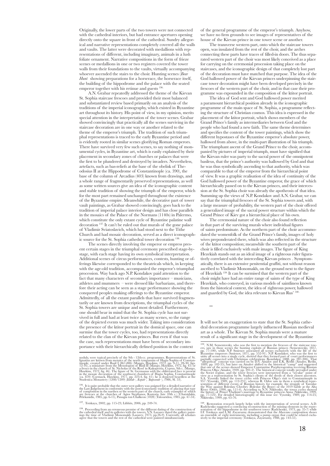Originally, the lower parts of the two towers were not connected with the cathedral interiors, but had entrance apertures opening directly onto the square in front of the cathedral. Sundry allegorical and narrative representations completely covered all the walls and vaults. The latter were decorated with medallions with representations of different, including imaginary, animals in a lush foliate ornament. Narrative compositions in the form of frieze scenes or medallions in one or two registers covered the tower walls from their foundations to the vaults, virtually accompanying whoever ascended the stairs to the choir. Hunting scenes *(Bear Hunt* showing preparations for a horserace, the horserace itself, the building of the hippodrome and the palace with the seated emperor together with his retinue and guests 136.

A.N. Grabar repeatedly addressed the theme of the Kievan St. Sophia staircase frescoes and provided their most balanced and substantiated review based primarily on an analysis of the traditions of the imperial iconography, which existed in Byzantine art throughout its history. His point of view, in my opinion, merits special attention in the interpretation of the tower scenes. Grabar showed convincingly that practically all the scenes surviving in the staircase decoration are in one way or another related to the theme of the emperor's triumph. The tradition of such triumphal representations is traced to the early Byzantine period and is evidently rooted in similar scenes glorifying Roman emperors. There have survived very few such scenes, to say nothing of monumental cycles, in Byzantine art, which is easily explained by their placement in secondary zones of churches or palaces that were the first to be plundered and destroyed by invaders. Nevertheless, artefacts, such as bas-reliefs at the base of the obelisk of Theodosius II at the Hippodrome of Constantinople (ca. 390), the base of the column of Arcadius (403) known from drawings, and a whole range of fragmentarily preserved representations, as well as some written sources give an idea of the iconographic content and stable tradition of showing the triumph of the emperor, which for the most part remained unchanged throughout the existence of the Byzantine empire. Meanwhile, the decorative part of tower vault paintings, as Grabar showed convincingly, goes back to the tradition of imperial palace interior design and has close parallels in the mosaics of the Palace of the Normans (1140s) in Palermo, which constitute the only extant cycle of Byzantine palatine wall decoration 137. It can't be ruled out that murals of the gone palace of Vladimir Sviatoslavich, which had stood next to the Tithe Church and had mosaic decoration, served as a direct iconographic source for the St. Sophia cathedral tower decoration<sup>13</sup>

The scenes directly involving the emperor or empress present certain stages in the triumphal ceremony prescribed stage-bystage, with each stage having its own symbolical interpretation. Additional scenes of circus performances, contests, hunting or offerings likewise corresponded to the theatricals which, in keeping with the age-old tradition, accompanied the emperor's triumphal procession. Way back ago N.P. Kondakov paid attention to the fact that many characters of secondary importance – musicians, athletes and mummers – were dressed like barbarians, and therefore their acting can be seen as a stage performance showing the conquered peoples making offerings to the Byzantine emperor. Admittedly, of all the extant parallels that have survived fragmentarily or are known from descriptions, the triumphal cycles of the St. Sophia towers are unique and most detailed. Furthermore, one should bear in mind that the St. Sophia cycle has not survived in full and had at least twice as many scenes, so the range of the depicted events was much wider. Taking into consideration the presence of the ktitor portrait in the domical space, one can surmise that the tower cycles, too, had representations directly related to the clan of the Kievan princes. But even if that was the case, such representations must have been of secondary importance with their hierarchically defined position in the context

of the general programme of the emperor's triumph. Anyhow, we have no firm grounds to see images of representatives of the house of the Kievan prince in one tower scene or another.

The transverse western part, onto which the staircase towers open, was insulated from the rest of the choir, and the arches connecting these parts have traces of filled-in doors. The thus separated western part of the choir was most likely conceived as a place for carrying on the ceremonial procession taking place on the staircases, and the iconographic design of that completely lost part of the decoration must have matched that purpose. The idea of the God hallowed power of the Kievan princes underpinning the staircase tower decoration might have been developed precisely in the frescoes of the western part of the choir, and in that case their programme was expounded in the composition of the ktitor portrait.

The idea of God sent and God hallowed power merited a paramount hierarchical position already in the iconographic programme of the main space of St. Sophia, a programme reflecting the structure of Christian cosmos. This idea is expressed in the placement of the ktitor portrait, which shows members of the Grand Prince's family as intermediaries between God and the people who had found a new faith. The same theme determines and specifies the content of the tower paintings, which show the different hypostases of the Byzantine emperor's absolute power, hallowed from above, in the multi-part illustration of his triumph. The triumphant ascent of the Grand Prince to the choir, accompanied by pictures of imperial triumph, must have signified that the Kievan ruler was party to the sacral power of the omnipotent basileus, that the prince's authority was hallowed by God and that he was thus symbolically ascending to that authority, which was comparable to that of the emperor from the hierarchical point of view. It was a graphic realisation of the idea of continuity of the God hallowed power of the Byzantine emperor, the grace of which hierarchically passed on to the Kievan princes, and their intercession at the St. Sophia choir was already the apotheosis of that idea. Summing up the views of N.P. Kondakov and A.N. Grabar, we can say that the triumphal frescoes of the St. Sophia towers and, with a large measure of probability, the western part of the choir offered a generalized image of the sacral power structure within which the Grand Prince of Kiev got a hierarchical place of his own.

The ceremonial nature of the choir also found reflection in that part of the surviving murals where individual figures of saints predominate. As the northern part of the choir accommodated the womenfolk of the Grand Prince's family, images of holy wives preponderated there, which was also reflected in the structure of the ktitor composition; meanwhile the southern part of the choir is filled exclusively with male images. The figure of King Hezekiah stands out as an ideal image of a righteous ruler figuratively correlated with the interceding Kievan princes . Symptomatically, there is an extensive penitential graffiti, not without reason ascribed to Vladimir Monomakh, on the ground next to the figure of Hezekiah 139. It can be surmised that the western part of the choir might have had an entire range of saints of the type of King Hezekiah, who conveyed, in various models of saintliness known from the historical context, the idea of righteous power, hallowed and guarded by God, the idea relevant to Kievan Rus' <sup>14</sup>

\*\*\*

It will not be an exaggeration to state that the St. Sophia cathedral decoration programme largely influenced Russian medieval art as a whole. The Kievan St. Sophia murals were a mature result of a significant stage in the development of the Byzantine

<sup>140</sup>. Restoration research largely helps with the interpretation of several scenes. A.D.<br>Radchenko suggested a convincing reconstruction of the missing elements in the repre-<br>sentation of the hippodrome in the southwest t I.F. Totskaya and L.M. Zayaruzny demonstrated that the *Musicians* composition shows<br>an ensemble of eight instruments, including a pump organ that could be related exclu-<br>sively to the imperial ceremony (Totskaya, Zayaruzn

nooluly, were typical precisely of the 9th - 12th-cc, programmes. Representations of St. Ignatius are known from mosaics of the north tympanum of Hagia Sophia of Constantinople, created under Basil I (867-886) (Mango, Hawk

 $^{136}$ . It is quite probable that the outer west gallery was assigned for a detailed narrative of the Last Judgement in conformity with the post-iconoclastic tradition of placing that type of composition in the narrhex o

<sup>137</sup>. Totskaya, 2002, pp. 115-23; Lifshits, 2006, pp. 249-74.

<sup>&</sup>lt;sup>138</sup>. Proceeding from an erroneous premise of the different dating of the construction of the cathedral itself and its galleries with the towers, V.N. Lazarev dated the gallery paintings the time of Vladimir Monomakh (Laz

<sup>&</sup>lt;sup>139</sup>, N.M. Sementowsky, who was the first to mention the free<br>cose of the staircase towers exacts as exacts as the hunting exploits of Russian princes (Sementovsky, 1857, 17-100), while N.P. Hyzantine emperors (Smirnov,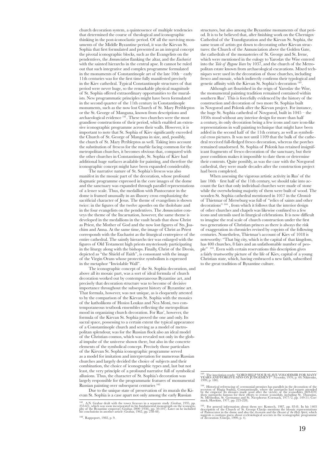church decoration system, a quintessence of multiple tendencies that determined the course of theological and iconographic thinking in the post-iconoclastic period. Of all the surviving monuments of the Middle Byzantine period, it was the Kievan St. Sophia that first formulated and presented as an integral concept the pivotal iconographic blocks, such as the Evangelists on the pendentives, the *Annunciation* flanking the altar, and the *Eucharist* with the sainted hierarchs in the central apse. It cannot be ruled out that such integrative and complex programme formulated in the monuments of Constantinople art of the late 10th – early 11th centuries was for the first time fully manifested precisely in the Kiev cathedral. Typical Constantinople structures of that period were never huge, so the remarkable physical magnitude of St. Sophia offered extraordinary opportunities to the muralists. New programmatic principles might have been formulated in the second quarter of the 11th century in Constantinople monuments, such as the now lost Church of St. Mary Peribleptos or the St. George of Mangana, known from descriptions and archaeological evidence 141. These two churches were the most grandiose constructions of their period, which enabled an extensive iconographic programme across their walls. However, it is important to note that St. Sophia of Kiev significantly exceeded the Church of St. George of Mangana in size, and, possibly, the church of St. Mary Peribleptos as well. Taking into account the substitution of frescos for the marble facing common for the metropolitan churches, it becomes obvious that, compared with the other churches in Constantinople, St. Sophia of Kiev had additional huge surfaces available for painting, and therefore the iconographic concept might have been expanded considerably.

The narrative nature of St. Sophia's frescos was also manifest in the mosaic part of the decoration, whose profound dogmatic programme expressed in the core images of the dome and the sanctuary was expanded through parallel representations of a lesser scale. Thus, the medallion with Pantocrator in the dome is framed unusually in an illusory cross emphasizing the sacrificial character of Jesus. The theme of evangelism is shown twice: in the figures of the twelve apostles on the tholobate and in the four evangelists on the pendentives. The *Annunciation* conveys the theme of the Incarnation, however, the same theme is developed in the medallions in the vault heads that show Christ as Priest, the Mother of God and the now lost figures of Sts. Joachim and Anna. At the same time, the image of Christ as Priest corresponds with the Eucharist as the liturgical centrepiece of the entire cathedral. The saintly hierarchs tier was enlarged with the figures of Old Testament high priests mysteriously participating in the liturgy along with the bishops. Finally, Christ of the Deesis, depicted as "the Shield of Faith", is consonant with the image of the Virgin Orans whose protective symbolism is expressed in the metaphor "Inviolable Wall".

The iconographic concept of the St. Sophia decoration, and above all its mosaic part, was a sort of ideal formula of church decoration worked out by contemporaneous Byzantine art, and precisely that decoration structure was to become of decisive importance throughout the subsequent history of Byzantine art. That formula, however, was not unique, as is eloquently attested to by the comparison of the Kievan St. Sophia with the mosaics of the katholikons of Hosios Loukas and Nea Moni, two contemporaneous textbook ensembles reflecting the metropolitan mood in organizing church decoration. For Rus', however, the formula of the Kievan St. Sophia proved the one and only. Its sacral space, possessing to a certain extent the typical appearance of a Constantinople church and serving as a model of metropolitan splendour, was for the Russian flock also an ideal model of the Christian cosmos, which was revealed not only in the global impulse of the universe shown there, but also in the concrete elements of the symbolical concept. Precisely those particulars of the Kievan St. Sophia iconographic programme served as a model for imitation and interpretation for numerous Russian churches and largely decided the choice of subjects and their combination, the choice of iconographic types and, last but not least, the very principle of a profound narrative full of symbolical allusions. Thus, the character of St. Sophia's decoration was largely responsible for the programmatic features of monumental Russian painting over subsequent centuries <sup>1</sup>

Due to the unique state of preservation of its murals the Kievan St. Sophia is a case apart not only among the early Russian

structures, but also among the Byzantine monuments of that period. It is to be believed that, after finishing work on the Chernigov Cathedral of the Transfiguration and the Kievan St. Sophia, the same team of artists got down to decorating other Kievan structures: the Church of the Annunciation above the Golden Gate, the cathedrals of the monasteries of St. George and St. Irene, which were mentioned in the eulogy to Yaroslav the Wise entered into the *Tale of Bygone Years* by 1037, and the church of the Metropolitan estate known from archaeological excavations. Mixed techniques were used in the decoration of those churches, including fresco and mosaic, which indirectly confirms their typological and genetic affinity with the Kievan St. Sophia's decoration<sup>1</sup>

Although art flourished in the reign of Yaroslav the Wise, the monumental painting tradition remained contained within southern Rus'. This is forcefully evidenced by the history of the construction and decoration of two more St. Sophias built in Novgorod and Polotsk after the Kievan project. For instance, the huge St. Sophia cathedral of Novgorod, built in 1045 – the 1050s stood without any interior design for more than half a century, its only decoration being a few icons and rare icon-like representations in wall painting technique that might have been added in the second half of the 11th century, as well as symbolical cross pictures. It was not until 1109 that the bulk of the cathedral received full-fledged fresco decoration, whereas the porches remained unadorned. St. Sophia of Polotsk has retained insignificant fragments of fresco decoration of the sanctuary, but their poor condition makes it impossible to date them or determine their contents. Quite possibly, as was the case with the Novgorod cathedral, they were made decades after the construction project had been completed.

When assessing the vigorous artistic activity in Rus' of the late 10th – first half of the 11th century, we should take into account the fact that only individual churches were made of stone while the overwhelming majority of them were built of wood. The wooden St. Sophia cathedral mentioned in 1017 in the *Chronicle* of Thietmar of Merseburg was full of "relics of saints and other decorations" 144 , from which it follows that the interior design of other churches and chapels was likewise confined to a few icons and utensils used in liturgical celebrations. It is now difficult to imagine the real scale of church construction under the first two generations of Christian princes as there is always the risk of exaggeration in chronicles revised by copyists of the following centuries. Nonetheless, Thietmar's account of Kiev of 1018 is noteworthy: "That big city, which is the capital of that kingdom, has 400 churches, 8 fairs and an unfathomable number of people" 145. Even with certain reservations this description gives a fairly trustworthy picture of the life of Kiev, capital of a young Christian state, which, having embraced a new faith, subscribed to the great tradition of Byzantine culture.

<sup>143</sup>. The inscription reads: "LORD HELP YOUR SLAVE VOLODIMIR FOR MANY YEARS AND FORGIVE SINS ON JUDGEMENT" (Vysotsky, 1976, p. 49; Nikitenko,<br>YEARS AND FORGIVE SINS ON JUDGEMENT" (Vysotsky, 1976, p. 49; Nikitenko,<br>1999, p

<sup>&</sup>lt;sup>141</sup>. A.N. Grabar dealt with the tower frescoes in a separate study (Grabar, 1935, pp. 253-63), which was soon incorporated in his fundamental monograph on the iconography of the Byzantine emperors (Grabar, 2000 (1936),

<sup>142</sup>. Rappoport, 1982, p. 9.

<sup>&</sup>lt;sup>144</sup>. Historical referencing of ceremonial premises has parallels in the decoration of the secreton of Hagia Sophia, Constantinople, where the particarchs had repasts attended by the emperor. Its mosaics made soon after

<sup>145</sup>. For general information about them see: Komech, 1987, pp. 83-8). In his 1403 description of the Church of St. George Clavijo mentions the mosaic representations of Pantocrator in the dome and also the *Ascension* and the *Descent of the Holy Spirit*, which<br>suggests a cautious guess about ecclesiological accents in the iconographic programme<br>of decoration (Clavijo, 1990, p. 4).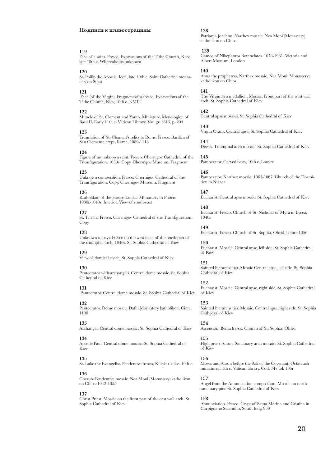#### **Подписи к иллюстрациям**

#### **119**

Face of a saint. Fresco. Excavations of the Tithe Church, Kiev, late 10th c. Whereabouts unknown

#### **120**

St. Philip the Apostle. Icon, late 10th c. Saint Catherine monastery on Sinai

## **121**

 Face (of the Virgin). Fragment of a fresco. Excavations of the Tithe Church, Kiev, 10th c. NMIU

#### **122**

Miracle of St. Clement and Youth. Miniature. Menologion of Basil II. Early 11th c. Vatican Library. Vat. gr. 1613, p. 204

## **123**

Translation of St. Clement's relics to Rome. Fresco. Basilica of San Clemente crypt, Rome, 1089-1118

#### **124**

Figure of an unknown saint. Fresco. Chernigov Cathedral of the Transfiguration. 1030s. Copy. Chernigov Museum. Fragment

#### **125**

Unknown composition. Fresco. Chernigov Cathedral of the Transfiguration. Copy. Chernigov Museum. Fragment

## **126**

Katholikon of the Hosios Loukas Monastery in Phocis. 1030s-1040s. Interior. View of south-east

## **127**

St. Thecla. Fresco. Chernigov Cathedral of the Transfiguration. Copy

#### **128**

Unknown martyr. Fresco on the west facet of the north pier of the triumphal arch. 1040s. St. Sophia Cathedral of Kiev

## **129**

View of domical space. St. Sophia Cathedral of Kiev

## **130**

Pantocrator with archangels. Central dome mosaic. St. Sophia Cathedral of Kiev

## **131**

Pantocrator. Central dome mosaic. St. Sophia Cathedral of Kiev

## **132**

Pantocrator. Dome mosaic. Dafni Monastery katholikon. Circa 1100

## **133**

Archangel. Central dome mosaic. St. Sophia Cathedral of Kiev

## **134**

Apostle Paul. Central dome mosaic. St. Sophia Cathedral of Kiev

## **135**

St. Luke the Evangelist. Pendentive fresco, Kiliçkar kilise. 10th c.

#### **136**

Cherub. Pendentive mosaic. Nea Moni (Monastery) katholikon on Chios. 1042-1055

#### **137**

Christ Priest. Mosaic on the front part of the east wall arch. St. Sophia Cathedral of Kiev

## **138**

Patriarch Joachim. Narthex mosaic. Nea Moni (Monastery) katholikon on Chios

#### **139**

Cameo of Nikephoros Botaneiates. 1078-1981. Victoria and Albert Museum, London

## **140**

Anna the prophetess. Narthex mosaic. Nea Moni (Monastery) katholikon on Chios

#### **141**

The Virgin in a medallion. Mosaic. Front part of the west wall arch. St. Sophia Cathedral of Kiev

## **142**

Central apse mosaics. St. Sophia Cathedral of Kiev

**143** Virgin Orans. Central apse. St. Sophia Cathedral of Kiev

**144** Deesis. Triumphal arch mosaic. St. Sophia Cathedral of Kiev

## **145** Pantocrator. Carved ivory, 10th c. Louvre

**146** Pantocrator. Narthex mosaic, 1065-1067. Church of the Dormition in Nicaea

**147** Eucharist. Central apse mosaic. St. Sophia Cathedral of Kiev

**148** Eucharist. Fresco. Church of St. Nicholas of Myra in Lycea, 1040s

**149** Eucharist. Fresco. Church of St. Sophia, Ohrid, before 1056 **150**

Eucharist. Mosaic. Central apse, left side. St. Sophia Cathedral of Kiev

## **151**

Sainted hierarchs tier. Mosaic Central apse, left side. St. Sophia Cathedral of Kiev

## **152**

Eucharist. Mosaic. Central apse, right side. St. Sophia Cathedral of Kiev

## **153**

Sainted hierarchs tier. Mosaic. Central apse, right side. St. Sophia Cathedral of Kiev

**154** 

Ascension. Bema fresco. Church of St. Sophia, Ohrid

## **155**

High priest Aaron. Sanctuary arch mosaic. St. Sophia Cathedral of Kiev

#### **156**

Moses and Aaron before the Ark of the Covenant. Octateuch miniature, 11th c. Vatican library. Cod. 747 fol. 106r

#### **157**

Angel from the Annunciation composition. Mosaic on north sanctuary pier. St. Sophia Cathedral of Kiev

## **158**

Annunciation. Fresco. Crypt of Santa Marina and Cristina in Carpignano Salentino, South Italy, 959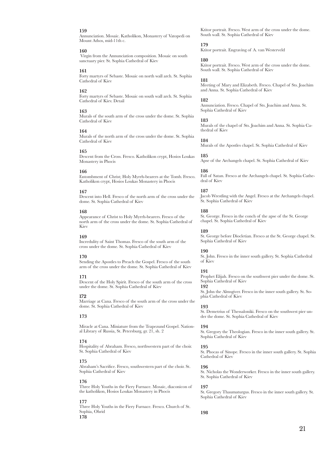## **159**

Annunciation. Mosaic. Katholikon, Monastery of Vatopedi on Mount Athos, mid-11th c.

## **160**

 Virgin from the Annunciation composition. Mosaic on south sanctuary pier. St. Sophia Cathedral of Kiev

## **161**

Forty martyrs of Sebaste. Mosaic on north wall arch. St. Sophia Cathedral of Kiev

#### **162**

Forty martyrs of Sebaste. Mosaic on south wall arch. St. Sophia Cathedral of Kiev. Detail

## **163**

Murals of the south arm of the cross under the dome. St. Sophia Cathedral of Kiev

## **164**

Murals of the north arm of the cross under the dome. St. Sophia Cathedral of Kiev

#### **165**

Descent from the Cross. Fresco. Katholikon crypt, Hosios Loukas Monastery in Phocis

#### **166**

Entombment of Christ; Holy Myrrh-bearers at the Tomb. Fresco. Katholikon crypt, Hosios Loukas Monastery in Phocis

#### **167**

Descent into Hell. Fresco of the north arm of the cross under the dome. St. Sophia Cathedral of Kiev

#### **168**

Appearance of Christ to Holy Myrrh-bearers. Fresco of the north arm of the cross under the dome. St. Sophia Cathedral of Kiev

#### **169**

Incredulity of Saint Thomas. Fresco of the south arm of the cross under the dome. St. Sophia Cathedral of Kiev

#### **170**

Sending the Apostles to Preach the Gospel. Fresco of the south arm of the cross under the dome. St. Sophia Cathedral of Kiev

#### **171**

Descent of the Holy Spirit. Fresco of the south arm of the cross under the dome. St. Sophia Cathedral of Kiev

#### **172**

Marriage at Cana. Fresco of the south arm of the cross under the dome. St. Sophia Cathedral of Kiev

## **173**

Miracle at Cana. Miniature from the Trapezund Gospel. National Library of Russia, St. Petersburg, gr. 21, sh. 2

#### **174**

Hospitality of Abraham. Fresco, northwestern part of the choir. St. Sophia Cathedral of Kiev

## **175**

Abraham's Sacrifice. Fresco, southwestern part of the choir. St. Sophia Cathedral of Kiev

#### **176**

Three Holy Youths in the Fiery Furnace. Mosaic, diaconicon of the katholikon, Hosios Loukas Monastery in Phocis

## **177**

Three Holy Youths in the Fiery Furnace. Fresco. Church of St. Sophia, Ohrid **178**

Ktitor portrait. Fresco. West arm of the cross under the dome. South wall. St. Sophia Cathedral of Kiev

## **179**

Ktitor portrait. Engraving of A. van Westerveld

#### **180**

Ktitor portrait. Fresco. West arm of the cross under the dome. South wall. St. Sophia Cathedral of Kiev

#### **181**

Meeting of Mary and Elizabeth. Fresco. Chapel of Sts. Joachim and Anna. St. Sophia Cathedral of Kiev

## **182**

Annunciation. Fresco. Chapel of Sts. Joachim and Anna. St. Sophia Cathedral of Kiev

#### **183**

Murals of the chapel of Sts. Joachim and Anna. St. Sophia Cathedral of Kiev

#### **184**

Murals of the Apostles chapel. St. Sophia Cathedral of Kiev

## **185**

Apse of the Archangels chapel. St. Sophia Cathedral of Kiev

#### **186**

Fall of Satan. Fresco at the Archangels chapel. St. Sophia Cathedral of Kiev

## **187**

Jacob Wrestling with the Angel. Fresco at the Archangels chapel. St. Sophia Cathedral of Kiev

#### **188**

St. George. Fresco in the conch of the apse of the St. George chapel. St. Sophia Cathedral of Kiev

#### **189**

St. George before Diocletian. Fresco at the St. George chapel. St. Sophia Cathedral of Kiev

## **190**

St. John. Fresco in the inner south gallery. St. Sophia Cathedral of Kiev

#### **191**

Prophet Elijah. Fresco on the southwest pier under the dome. St. Sophia Cathedral of Kiev

## **192**

St. John the Almsgiver. Fresco in the inner south gallery. St. Sophia Cathedral of Kiev

#### **193**

St. Demetrius of Thessaloniki. Fresco on the southwest pier under the dome. St. Sophia Cathedral of Kiev

#### **194**

St. Gregory the Theologian. Fresco in the inner south gallery. St. Sophia Cathedral of Kiev

#### **195**

St. Phocas of Sinope. Fresco in the inner south gallery. St. Sophia Cathedral of Kiev

## **196**

St. Nicholas the Wonderworker. Fresco in the inner south gallery. St. Sophia Cathedral of Kiev

#### **197**

St. Gregory Thaumaturgus. Fresco in the inner south gallery. St. Sophia Cathedral of Kiev

**198**